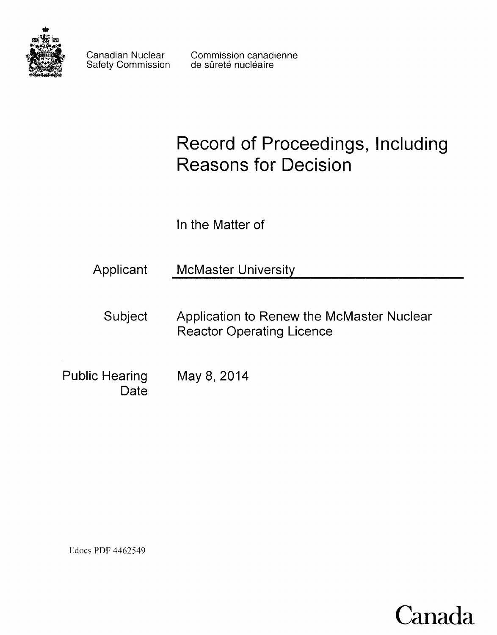

Safety Commission

Canadian Nuclear Commission canadienne<br>Safety Commission de sûreté nucléaire

# **Record of Proceedings, Including Reasons for Decision**

**In the Matter of**

| Applicant              | <b>McMaster University</b>                                                    |  |  |
|------------------------|-------------------------------------------------------------------------------|--|--|
| Subject                | Application to Renew the McMaster Nuclear<br><b>Reactor Operating Licence</b> |  |  |
| Public Hearing<br>)ate | May 8, 2014                                                                   |  |  |

Edocs POF 4462549

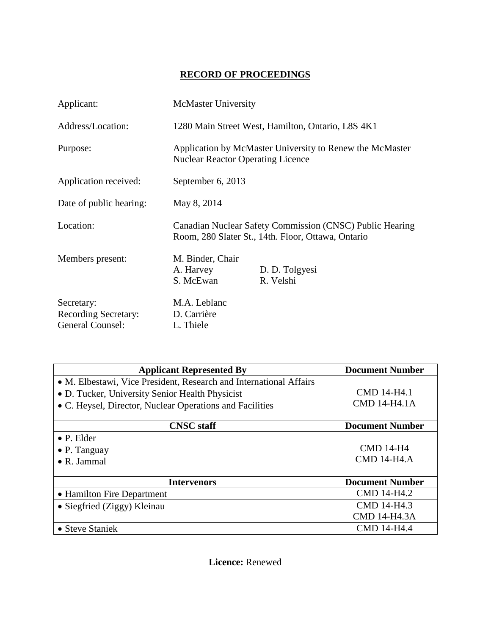# **RECORD OF PROCEEDINGS**

| Applicant:                                                    | <b>McMaster University</b>                                                                                     |                             |  |
|---------------------------------------------------------------|----------------------------------------------------------------------------------------------------------------|-----------------------------|--|
| Address/Location:                                             | 1280 Main Street West, Hamilton, Ontario, L8S 4K1                                                              |                             |  |
| Purpose:                                                      | Application by McMaster University to Renew the McMaster<br><b>Nuclear Reactor Operating Licence</b>           |                             |  |
| Application received:                                         | September 6, 2013                                                                                              |                             |  |
| Date of public hearing:                                       | May 8, 2014                                                                                                    |                             |  |
| Location:                                                     | Canadian Nuclear Safety Commission (CNSC) Public Hearing<br>Room, 280 Slater St., 14th. Floor, Ottawa, Ontario |                             |  |
| Members present:                                              | M. Binder, Chair<br>A. Harvey<br>S. McEwan                                                                     | D. D. Tolgyesi<br>R. Velshi |  |
| Secretary:<br><b>Recording Secretary:</b><br>General Counsel: | M.A. Leblanc<br>D. Carrière<br>L. Thiele                                                                       |                             |  |

| <b>Applicant Represented By</b>                                                                                                                                                   | <b>Document Number</b>                    |
|-----------------------------------------------------------------------------------------------------------------------------------------------------------------------------------|-------------------------------------------|
| • M. Elbestawi, Vice President, Research and International Affairs<br>• D. Tucker, University Senior Health Physicist<br>• C. Heysel, Director, Nuclear Operations and Facilities | <b>CMD 14-H4.1</b><br><b>CMD 14-H4.1A</b> |
| <b>CNSC</b> staff                                                                                                                                                                 | <b>Document Number</b>                    |
| $\bullet$ P. Elder<br>$\bullet$ P. Tanguay<br>$\bullet$ R. Jammal                                                                                                                 | <b>CMD 14-H4</b><br><b>CMD 14-H4.A</b>    |
| <b>Intervenors</b>                                                                                                                                                                | <b>Document Number</b>                    |
| • Hamilton Fire Department                                                                                                                                                        | CMD 14-H4.2                               |
| • Siegfried (Ziggy) Kleinau                                                                                                                                                       | CMD 14-H4.3<br><b>CMD 14-H4.3A</b>        |
| • Steve Staniek                                                                                                                                                                   | <b>CMD 14-H4.4</b>                        |

**Licence:** Renewed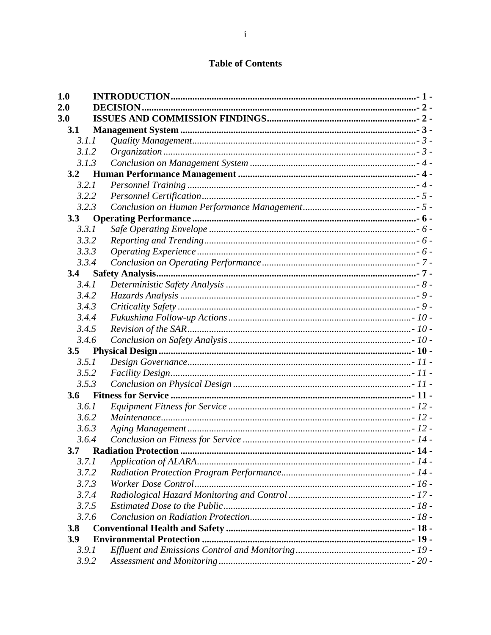# **Table of Contents**

| 1.0 |                 |  |
|-----|-----------------|--|
| 2.0 | <b>DECISION</b> |  |
| 3.0 |                 |  |
| 3.1 |                 |  |
|     | 3.1.1           |  |
|     | 3.1.2           |  |
|     | 3.1.3           |  |
| 3.2 |                 |  |
|     | 3.2.1           |  |
|     | 3.2.2           |  |
|     | 3.2.3           |  |
| 3.3 |                 |  |
|     | 3.3.1           |  |
|     | 3.3.2           |  |
|     | 3.3.3           |  |
|     | 3.3.4           |  |
| 3.4 |                 |  |
|     | 3.4.1           |  |
|     | 3.4.2           |  |
|     | 3.4.3           |  |
|     | 3.4.4           |  |
|     | 3.4.5           |  |
|     | 3.4.6           |  |
| 3.5 |                 |  |
|     | 3.5.1           |  |
|     | 3.5.2           |  |
|     | 3.5.3           |  |
| 3.6 |                 |  |
|     | 3.6.1           |  |
|     | 3.6.2           |  |
|     | 3.6.3           |  |
|     | 3.6.4           |  |
|     |                 |  |
|     | 3.7.1           |  |
|     | 3.7.2           |  |
|     | 3.7.3           |  |
|     | 3.7.4           |  |
|     | 3.7.5           |  |
|     | 3.7.6           |  |
| 3.8 |                 |  |
| 3.9 |                 |  |
|     | 3.9.1           |  |
|     | 3.9.2           |  |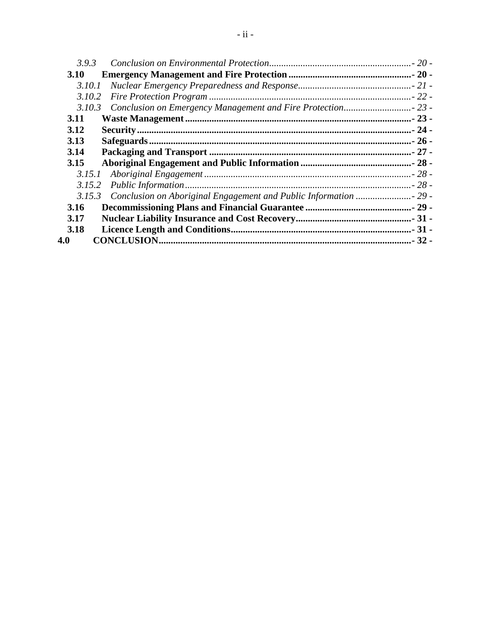| 3.9.3       |  |
|-------------|--|
| <b>3.10</b> |  |
| 3.10.1      |  |
| 3.10.2      |  |
| 3.10.3      |  |
| 3.11        |  |
| 3.12        |  |
| 3.13        |  |
| 3.14        |  |
| 3.15        |  |
| 3.15.1      |  |
| 3.15.2      |  |
| 3.15.3      |  |
| 3.16        |  |
| 3.17        |  |
| 3.18        |  |
| 4.0         |  |
|             |  |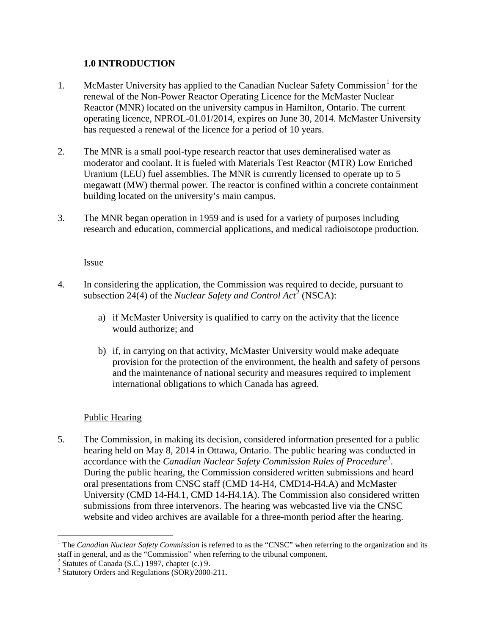## <span id="page-4-0"></span>**1.0 INTRODUCTION**

- McMaster University has applied to the Canadian Nuclear Safety Commission<sup>[1](#page-4-1)</sup> for the renewal of the Non-Power Reactor Operating Licence for the McMaster Nuclear Reactor (MNR) located on the university campus in Hamilton, Ontario. The current operating licence, NPROL-01.01/2014, expires on June 30, 2014. McMaster University has requested a renewal of the licence for a period of 10 years. 1.
- The MNR is a small pool-type research reactor that uses demineralised water as moderator and coolant. It is fueled with Materials Test Reactor (MTR) Low Enriched Uranium (LEU) fuel assemblies. The MNR is currently licensed to operate up to 5 megawatt (MW) thermal power. The reactor is confined within a concrete containment building located on the university's main campus. 2.
- The MNR began operation in 1959 and is used for a variety of purposes including research and education, commercial applications, and medical radioisotope production. 3.

#### Issue

- In considering the application, the Commission was required to decide, pursuant to subsection [2](#page-4-2)4(4) of the *Nuclear Safety and Control Act*<sup>2</sup> (NSCA): 4.
	- a) if McMaster University is qualified to carry on the activity that the licence would authorize; and
	- b) if, in carrying on that activity, McMaster University would make adequate provision for the protection of the environment, the health and safety of persons and the maintenance of national security and measures required to implement international obligations to which Canada has agreed.

## Public Hearing

 $\overline{a}$ 

The Commission, in making its decision, considered information presented for a public hearing held on May 8, 2014 in Ottawa, Ontario. The public hearing was conducted in accordance with the *Canadian Nuclear Safety Commission Rules of Procedure*<sup>[3](#page-4-3)</sup>. During the public hearing, the Commission considered written submissions and heard oral presentations from CNSC staff (CMD 14-H4, CMD14-H4.A) and McMaster University (CMD 14-H4.1, CMD 14-H4.1A). The Commission also considered written submissions from three intervenors. The hearing was webcasted live via the CNSC website and video archives are available for a three-month period after the hearing. 5.

<span id="page-4-1"></span><sup>&</sup>lt;sup>1</sup> The *Canadian Nuclear Safety Commission* is referred to as the "CNSC" when referring to the organization and its staff in general, and as the "Commission" when referring to the tribunal component.

 $2^2$  Statutes of Canada (S.C.) 1997, chapter (c.) 9.

<span id="page-4-3"></span><span id="page-4-2"></span><sup>3</sup> Statutory Orders and Regulations (SOR)/2000-211.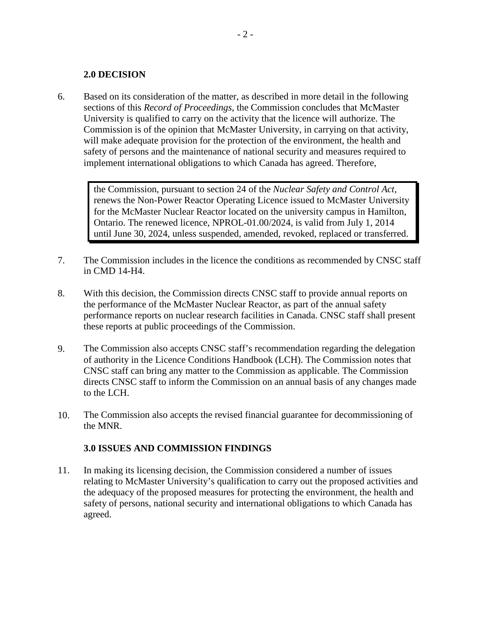#### <span id="page-5-0"></span>**2.0 DECISION**

Based on its consideration of the matter, as described in more detail in the following sections of this *Record of Proceedings*, the Commission concludes that McMaster University is qualified to carry on the activity that the licence will authorize. The Commission is of the opinion that McMaster University, in carrying on that activity, will make adequate provision for the protection of the environment, the health and safety of persons and the maintenance of national security and measures required to implement international obligations to which Canada has agreed. Therefore, 6.

> the Commission, pursuant to section 24 of the *Nuclear Safety and Control Act*, renews the Non-Power Reactor Operating Licence issued to McMaster University for the McMaster Nuclear Reactor located on the university campus in Hamilton, Ontario. The renewed licence, NPROL-01.00/2024, is valid from July 1, 2014 until June 30, 2024, unless suspended, amended, revoked, replaced or transferred.

- The Commission includes in the licence the conditions as recommended by CNSC staff in CMD 14-H4. 7.
- With this decision, the Commission directs CNSC staff to provide annual reports on the performance of the McMaster Nuclear Reactor, as part of the annual safety performance reports on nuclear research facilities in Canada. CNSC staff shall present these reports at public proceedings of the Commission. 8.
- The Commission also accepts CNSC staff's recommendation regarding the delegation of authority in the Licence Conditions Handbook (LCH). The Commission notes that CNSC staff can bring any matter to the Commission as applicable. The Commission directs CNSC staff to inform the Commission on an annual basis of any changes made to the LCH. 9.
- The Commission also accepts the revised financial guarantee for decommissioning of the MNR. 10.

## <span id="page-5-1"></span>**3.0 ISSUES AND COMMISSION FINDINGS**

In making its licensing decision, the Commission considered a number of issues relating to McMaster University's qualification to carry out the proposed activities and the adequacy of the proposed measures for protecting the environment, the health and safety of persons, national security and international obligations to which Canada has agreed. 11.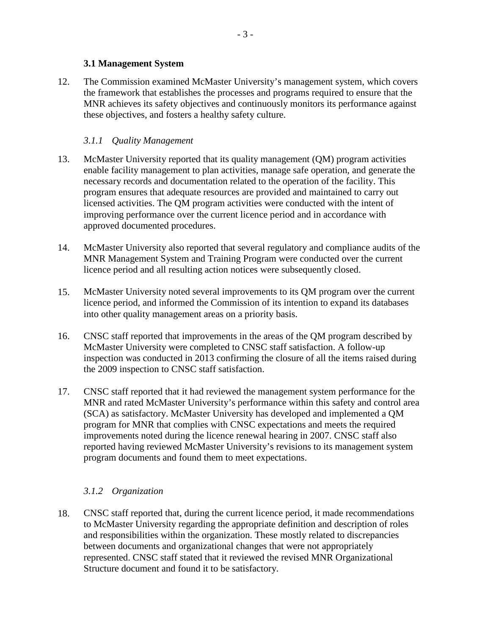#### <span id="page-6-0"></span>**3.1 Management System**

The Commission examined McMaster University's management system, which covers the framework that establishes the processes and programs required to ensure that the MNR achieves its safety objectives and continuously monitors its performance against these objectives, and fosters a healthy safety culture. 12.

## <span id="page-6-1"></span>*3.1.1 Quality Management*

- McMaster University reported that its quality management (QM) program activities enable facility management to plan activities, manage safe operation, and generate the necessary records and documentation related to the operation of the facility. This program ensures that adequate resources are provided and maintained to carry out licensed activities. The QM program activities were conducted with the intent of improving performance over the current licence period and in accordance with approved documented procedures. 13.
- McMaster University also reported that several regulatory and compliance audits of the MNR Management System and Training Program were conducted over the current licence period and all resulting action notices were subsequently closed. 14.
- McMaster University noted several improvements to its QM program over the current licence period, and informed the Commission of its intention to expand its databases into other quality management areas on a priority basis. 15.
- CNSC staff reported that improvements in the areas of the QM program described by McMaster University were completed to CNSC staff satisfaction. A follow-up inspection was conducted in 2013 confirming the closure of all the items raised during the 2009 inspection to CNSC staff satisfaction. 16.
- CNSC staff reported that it had reviewed the management system performance for the MNR and rated McMaster University's performance within this safety and control area (SCA) as satisfactory. McMaster University has developed and implemented a QM program for MNR that complies with CNSC expectations and meets the required improvements noted during the licence renewal hearing in 2007. CNSC staff also reported having reviewed McMaster University's revisions to its management system program documents and found them to meet expectations. 17.

## <span id="page-6-2"></span>*3.1.2 Organization*

CNSC staff reported that, during the current licence period, it made recommendations to McMaster University regarding the appropriate definition and description of roles and responsibilities within the organization. These mostly related to discrepancies between documents and organizational changes that were not appropriately represented. CNSC staff stated that it reviewed the revised MNR Organizational Structure document and found it to be satisfactory. 18.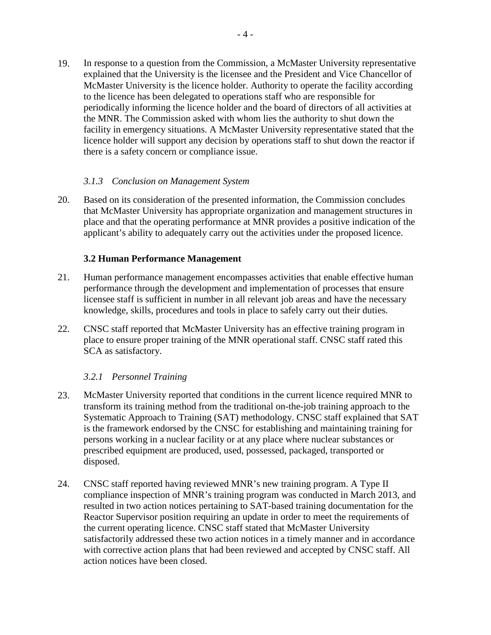19. In response to a question from the Commission, a McMaster University representative explained that the University is the licensee and the President and Vice Chancellor of McMaster University is the licence holder. Authority to operate the facility according to the licence has been delegated to operations staff who are responsible for periodically informing the licence holder and the board of directors of all activities at the MNR. The Commission asked with whom lies the authority to shut down the facility in emergency situations. A McMaster University representative stated that the licence holder will support any decision by operations staff to shut down the reactor if there is a safety concern or compliance issue.

#### <span id="page-7-0"></span>*3.1.3 Conclusion on Management System*

Based on its consideration of the presented information, the Commission concludes that McMaster University has appropriate organization and management structures in place and that the operating performance at MNR provides a positive indication of the applicant's ability to adequately carry out the activities under the proposed licence. 20.

#### <span id="page-7-1"></span>**3.2 Human Performance Management**

- Human performance management encompasses activities that enable effective human performance through the development and implementation of processes that ensure licensee staff is sufficient in number in all relevant job areas and have the necessary knowledge, skills, procedures and tools in place to safely carry out their duties. 21.
- CNSC staff reported that McMaster University has an effective training program in place to ensure proper training of the MNR operational staff. CNSC staff rated this SCA as satisfactory. 22.

## <span id="page-7-2"></span>*3.2.1 Personnel Training*

- McMaster University reported that conditions in the current licence required MNR to transform its training method from the traditional on-the-job training approach to the Systematic Approach to Training (SAT) methodology. CNSC staff explained that SAT is the framework endorsed by the CNSC for establishing and maintaining training for persons working in a nuclear facility or at any place where nuclear substances or prescribed equipment are produced, used, possessed, packaged, transported or disposed. 23.
- CNSC staff reported having reviewed MNR's new training program. A Type II compliance inspection of MNR's training program was conducted in March 2013, and resulted in two action notices pertaining to SAT-based training documentation for the Reactor Supervisor position requiring an update in order to meet the requirements of the current operating licence. CNSC staff stated that McMaster University satisfactorily addressed these two action notices in a timely manner and in accordance with corrective action plans that had been reviewed and accepted by CNSC staff. All action notices have been closed. 24.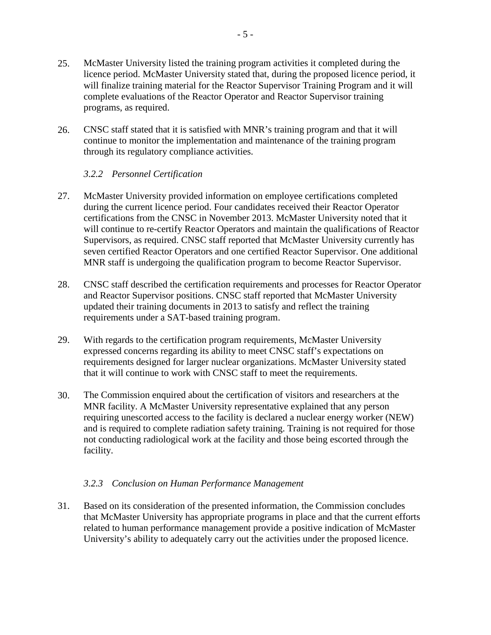- 25. McMaster University listed the training program activities it completed during the licence period. McMaster University stated that, during the proposed licence period, it will finalize training material for the Reactor Supervisor Training Program and it will complete evaluations of the Reactor Operator and Reactor Supervisor training programs, as required.
- CNSC staff stated that it is satisfied with MNR's training program and that it will continue to monitor the implementation and maintenance of the training program through its regulatory compliance activities. 26.

## <span id="page-8-0"></span>*3.2.2 Personnel Certification*

- McMaster University provided information on employee certifications completed during the current licence period. Four candidates received their Reactor Operator certifications from the CNSC in November 2013. McMaster University noted that it will continue to re-certify Reactor Operators and maintain the qualifications of Reactor Supervisors, as required. CNSC staff reported that McMaster University currently has seven certified Reactor Operators and one certified Reactor Supervisor. One additional MNR staff is undergoing the qualification program to become Reactor Supervisor. 27.
- CNSC staff described the certification requirements and processes for Reactor Operator and Reactor Supervisor positions. CNSC staff reported that McMaster University updated their training documents in 2013 to satisfy and reflect the training requirements under a SAT-based training program. 28.
- With regards to the certification program requirements, McMaster University expressed concerns regarding its ability to meet CNSC staff's expectations on requirements designed for larger nuclear organizations. McMaster University stated that it will continue to work with CNSC staff to meet the requirements. 29.
- The Commission enquired about the certification of visitors and researchers at the MNR facility. A McMaster University representative explained that any person requiring unescorted access to the facility is declared a nuclear energy worker (NEW) and is required to complete radiation safety training. Training is not required for those not conducting radiological work at the facility and those being escorted through the facility. 30.

## <span id="page-8-1"></span>*3.2.3 Conclusion on Human Performance Management*

Based on its consideration of the presented information, the Commission concludes that McMaster University has appropriate programs in place and that the current efforts related to human performance management provide a positive indication of McMaster University's ability to adequately carry out the activities under the proposed licence. 31.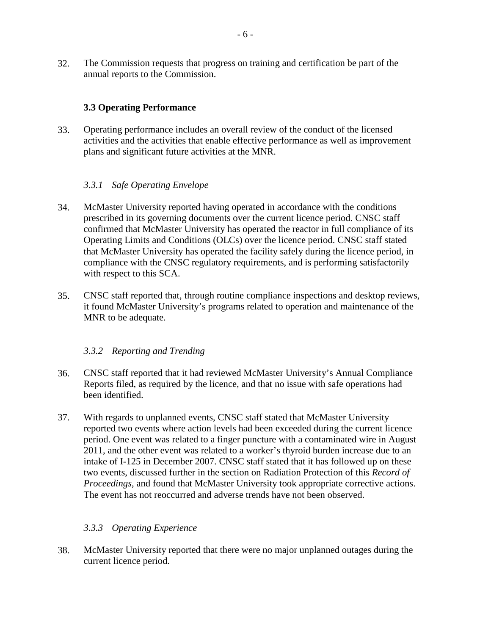32. The Commission requests that progress on training and certification be part of the annual reports to the Commission.

## <span id="page-9-0"></span>**3.3 Operating Performance**

Operating performance includes an overall review of the conduct of the licensed activities and the activities that enable effective performance as well as improvement plans and significant future activities at the MNR. 33.

## <span id="page-9-1"></span>*3.3.1 Safe Operating Envelope*

- McMaster University reported having operated in accordance with the conditions prescribed in its governing documents over the current licence period. CNSC staff confirmed that McMaster University has operated the reactor in full compliance of its Operating Limits and Conditions (OLCs) over the licence period. CNSC staff stated that McMaster University has operated the facility safely during the licence period, in compliance with the CNSC regulatory requirements, and is performing satisfactorily with respect to this SCA. 34.
- CNSC staff reported that, through routine compliance inspections and desktop reviews, it found McMaster University's programs related to operation and maintenance of the MNR to be adequate. 35.

## <span id="page-9-2"></span>*3.3.2 Reporting and Trending*

- CNSC staff reported that it had reviewed McMaster University's Annual Compliance Reports filed, as required by the licence, and that no issue with safe operations had been identified. 36.
- With regards to unplanned events, CNSC staff stated that McMaster University reported two events where action levels had been exceeded during the current licence period. One event was related to a finger puncture with a contaminated wire in August 2011, and the other event was related to a worker's thyroid burden increase due to an intake of I-125 in December 2007. CNSC staff stated that it has followed up on these two events, discussed further in the section on Radiation Protection of this *Record of Proceedings*, and found that McMaster University took appropriate corrective actions. The event has not reoccurred and adverse trends have not been observed. 37.

## <span id="page-9-3"></span>*3.3.3 Operating Experience*

McMaster University reported that there were no major unplanned outages during the current licence period. 38.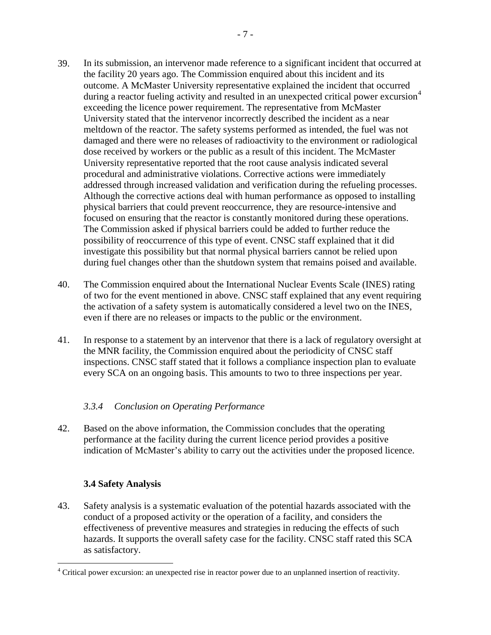- 39. In its submission, an intervenor made reference to a significant incident that occurred at the facility 20 years ago. The Commission enquired about this incident and its outcome. A McMaster University representative explained the incident that occurred during a reactor fueling activity and resulted in an unexpected critical power excursion<sup>[4](#page-10-2)</sup> exceeding the licence power requirement. The representative from McMaster University stated that the intervenor incorrectly described the incident as a near meltdown of the reactor. The safety systems performed as intended, the fuel was not damaged and there were no releases of radioactivity to the environment or radiological dose received by workers or the public as a result of this incident. The McMaster University representative reported that the root cause analysis indicated several procedural and administrative violations. Corrective actions were immediately addressed through increased validation and verification during the refueling processes. Although the corrective actions deal with human performance as opposed to installing physical barriers that could prevent reoccurrence, they are resource-intensive and focused on ensuring that the reactor is constantly monitored during these operations. The Commission asked if physical barriers could be added to further reduce the possibility of reoccurrence of this type of event. CNSC staff explained that it did investigate this possibility but that normal physical barriers cannot be relied upon during fuel changes other than the shutdown system that remains poised and available.
- The Commission enquired about the International Nuclear Events Scale (INES) rating of two for the event mentioned in above. CNSC staff explained that any event requiring the activation of a safety system is automatically considered a level two on the INES, even if there are no releases or impacts to the public or the environment. 40.
- In response to a statement by an intervenor that there is a lack of regulatory oversight at the MNR facility, the Commission enquired about the periodicity of CNSC staff inspections. CNSC staff stated that it follows a compliance inspection plan to evaluate every SCA on an ongoing basis. This amounts to two to three inspections per year. 41.

## <span id="page-10-0"></span>*3.3.4 Conclusion on Operating Performance*

Based on the above information, the Commission concludes that the operating performance at the facility during the current licence period provides a positive indication of McMaster's ability to carry out the activities under the proposed licence. 42.

# <span id="page-10-1"></span>**3.4 Safety Analysis**

 $\overline{a}$ 

Safety analysis is a systematic evaluation of the potential hazards associated with the conduct of a proposed activity or the operation of a facility, and considers the effectiveness of preventive measures and strategies in reducing the effects of such hazards. It supports the overall safety case for the facility. CNSC staff rated this SCA as satisfactory. 43.

<span id="page-10-2"></span><sup>&</sup>lt;sup>4</sup> Critical power excursion: an unexpected rise in reactor power due to an unplanned insertion of reactivity.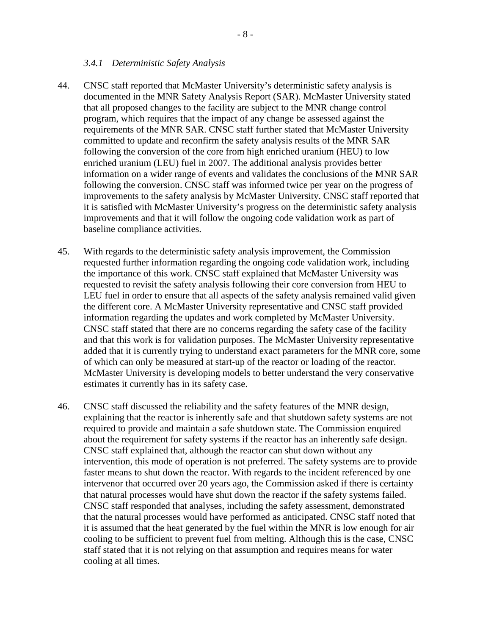#### <span id="page-11-0"></span>*3.4.1 Deterministic Safety Analysis*

- CNSC staff reported that McMaster University's deterministic safety analysis is documented in the MNR Safety Analysis Report (SAR). McMaster University stated that all proposed changes to the facility are subject to the MNR change control program, which requires that the impact of any change be assessed against the requirements of the MNR SAR. CNSC staff further stated that McMaster University committed to update and reconfirm the safety analysis results of the MNR SAR following the conversion of the core from high enriched uranium (HEU) to low enriched uranium (LEU) fuel in 2007. The additional analysis provides better information on a wider range of events and validates the conclusions of the MNR SAR following the conversion. CNSC staff was informed twice per year on the progress of improvements to the safety analysis by McMaster University. CNSC staff reported that it is satisfied with McMaster University's progress on the deterministic safety analysis improvements and that it will follow the ongoing code validation work as part of baseline compliance activities. 44.
- With regards to the deterministic safety analysis improvement, the Commission requested further information regarding the ongoing code validation work, including the importance of this work. CNSC staff explained that McMaster University was requested to revisit the safety analysis following their core conversion from HEU to LEU fuel in order to ensure that all aspects of the safety analysis remained valid given the different core. A McMaster University representative and CNSC staff provided information regarding the updates and work completed by McMaster University. CNSC staff stated that there are no concerns regarding the safety case of the facility and that this work is for validation purposes. The McMaster University representative added that it is currently trying to understand exact parameters for the MNR core, some of which can only be measured at start-up of the reactor or loading of the reactor. McMaster University is developing models to better understand the very conservative estimates it currently has in its safety case. 45.
- CNSC staff discussed the reliability and the safety features of the MNR design, explaining that the reactor is inherently safe and that shutdown safety systems are not required to provide and maintain a safe shutdown state. The Commission enquired about the requirement for safety systems if the reactor has an inherently safe design. CNSC staff explained that, although the reactor can shut down without any intervention, this mode of operation is not preferred. The safety systems are to provide faster means to shut down the reactor. With regards to the incident referenced by one intervenor that occurred over 20 years ago, the Commission asked if there is certainty that natural processes would have shut down the reactor if the safety systems failed. CNSC staff responded that analyses, including the safety assessment, demonstrated that the natural processes would have performed as anticipated. CNSC staff noted that it is assumed that the heat generated by the fuel within the MNR is low enough for air cooling to be sufficient to prevent fuel from melting. Although this is the case, CNSC staff stated that it is not relying on that assumption and requires means for water cooling at all times. 46.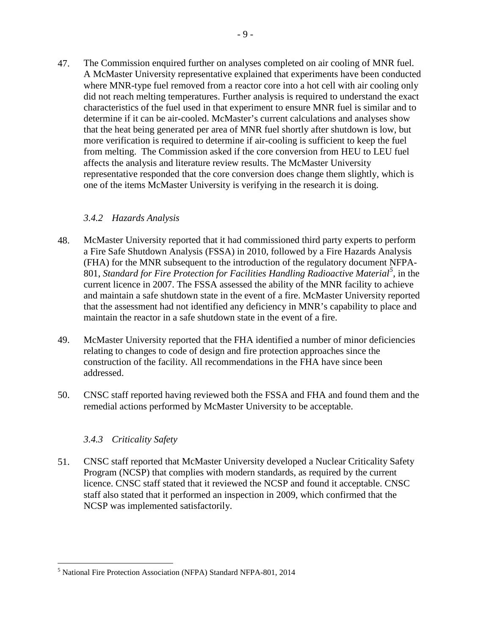47. The Commission enquired further on analyses completed on air cooling of MNR fuel. A McMaster University representative explained that experiments have been conducted where MNR-type fuel removed from a reactor core into a hot cell with air cooling only did not reach melting temperatures. Further analysis is required to understand the exact characteristics of the fuel used in that experiment to ensure MNR fuel is similar and to determine if it can be air-cooled. McMaster's current calculations and analyses show that the heat being generated per area of MNR fuel shortly after shutdown is low, but more verification is required to determine if air-cooling is sufficient to keep the fuel from melting. The Commission asked if the core conversion from HEU to LEU fuel affects the analysis and literature review results. The McMaster University representative responded that the core conversion does change them slightly, which is one of the items McMaster University is verifying in the research it is doing.

# <span id="page-12-0"></span>*3.4.2 Hazards Analysis*

- McMaster University reported that it had commissioned third party experts to perform a Fire Safe Shutdown Analysis (FSSA) in 2010, followed by a Fire Hazards Analysis (FHA) for the MNR subsequent to the introduction of the regulatory document NFPA-801, *Standard for Fire Protection for Facilities Handling Radioactive Material[5](#page-12-2)* , in the current licence in 2007. The FSSA assessed the ability of the MNR facility to achieve and maintain a safe shutdown state in the event of a fire. McMaster University reported that the assessment had not identified any deficiency in MNR's capability to place and maintain the reactor in a safe shutdown state in the event of a fire. 48.
- McMaster University reported that the FHA identified a number of minor deficiencies relating to changes to code of design and fire protection approaches since the construction of the facility. All recommendations in the FHA have since been addressed. 49.
- CNSC staff reported having reviewed both the FSSA and FHA and found them and the remedial actions performed by McMaster University to be acceptable. 50.

## <span id="page-12-1"></span>*3.4.3 Criticality Safety*

 $\overline{a}$ 

CNSC staff reported that McMaster University developed a Nuclear Criticality Safety Program (NCSP) that complies with modern standards, as required by the current licence. CNSC staff stated that it reviewed the NCSP and found it acceptable. CNSC staff also stated that it performed an inspection in 2009, which confirmed that the NCSP was implemented satisfactorily. 51.

<span id="page-12-2"></span><sup>5</sup> National Fire Protection Association (NFPA) Standard NFPA-801, 2014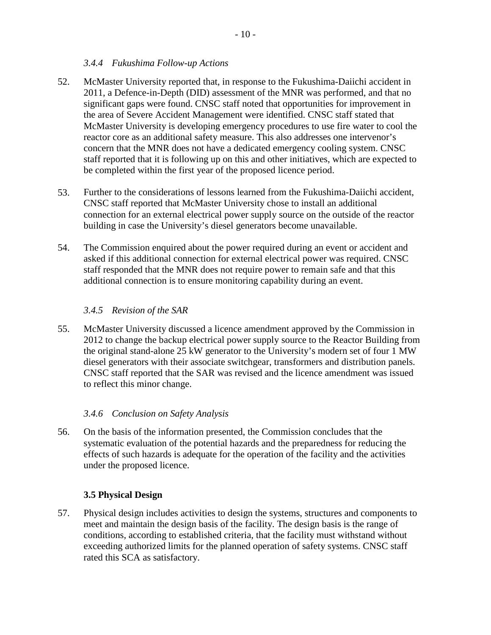#### <span id="page-13-0"></span>*3.4.4 Fukushima Follow-up Actions*

- McMaster University reported that, in response to the Fukushima-Daiichi accident in 2011, a Defence-in-Depth (DID) assessment of the MNR was performed, and that no significant gaps were found. CNSC staff noted that opportunities for improvement in the area of Severe Accident Management were identified. CNSC staff stated that McMaster University is developing emergency procedures to use fire water to cool the reactor core as an additional safety measure. This also addresses one intervenor's concern that the MNR does not have a dedicated emergency cooling system. CNSC staff reported that it is following up on this and other initiatives, which are expected to be completed within the first year of the proposed licence period. 52.
- Further to the considerations of lessons learned from the Fukushima-Daiichi accident, CNSC staff reported that McMaster University chose to install an additional connection for an external electrical power supply source on the outside of the reactor building in case the University's diesel generators become unavailable. 53.
- The Commission enquired about the power required during an event or accident and asked if this additional connection for external electrical power was required. CNSC staff responded that the MNR does not require power to remain safe and that this additional connection is to ensure monitoring capability during an event. 54.

#### <span id="page-13-1"></span>*3.4.5 Revision of the SAR*

McMaster University discussed a licence amendment approved by the Commission in 2012 to change the backup electrical power supply source to the Reactor Building from the original stand-alone 25 kW generator to the University's modern set of four 1 MW diesel generators with their associate switchgear, transformers and distribution panels. CNSC staff reported that the SAR was revised and the licence amendment was issued to reflect this minor change. 55.

## <span id="page-13-2"></span>*3.4.6 Conclusion on Safety Analysis*

On the basis of the information presented, the Commission concludes that the systematic evaluation of the potential hazards and the preparedness for reducing the effects of such hazards is adequate for the operation of the facility and the activities under the proposed licence. 56.

#### <span id="page-13-3"></span>**3.5 Physical Design**

Physical design includes activities to design the systems, structures and components to meet and maintain the design basis of the facility. The design basis is the range of conditions, according to established criteria, that the facility must withstand without exceeding authorized limits for the planned operation of safety systems. CNSC staff rated this SCA as satisfactory. 57.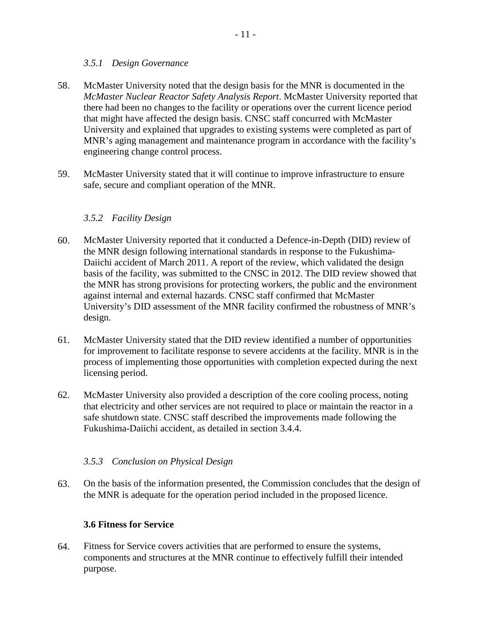#### <span id="page-14-0"></span>*3.5.1 Design Governance*

- McMaster University noted that the design basis for the MNR is documented in the *McMaster Nuclear Reactor Safety Analysis Report*. McMaster University reported that there had been no changes to the facility or operations over the current licence period that might have affected the design basis. CNSC staff concurred with McMaster University and explained that upgrades to existing systems were completed as part of MNR's aging management and maintenance program in accordance with the facility's engineering change control process. 58.
- McMaster University stated that it will continue to improve infrastructure to ensure safe, secure and compliant operation of the MNR. 59.

# <span id="page-14-1"></span>*3.5.2 Facility Design*

- McMaster University reported that it conducted a Defence-in-Depth (DID) review of the MNR design following international standards in response to the Fukushima-Daiichi accident of March 2011. A report of the review, which validated the design basis of the facility, was submitted to the CNSC in 2012. The DID review showed that the MNR has strong provisions for protecting workers, the public and the environment against internal and external hazards. CNSC staff confirmed that McMaster University's DID assessment of the MNR facility confirmed the robustness of MNR's design. 60.
- McMaster University stated that the DID review identified a number of opportunities for improvement to facilitate response to severe accidents at the facility. MNR is in the process of implementing those opportunities with completion expected during the next licensing period. 61.
- McMaster University also provided a description of the core cooling process, noting that electricity and other services are not required to place or maintain the reactor in a safe shutdown state. CNSC staff described the improvements made following the Fukushima-Daiichi accident, as detailed in section 3.4.4. 62.

## <span id="page-14-2"></span>*3.5.3 Conclusion on Physical Design*

On the basis of the information presented, the Commission concludes that the design of the MNR is adequate for the operation period included in the proposed licence. 63.

## <span id="page-14-3"></span>**3.6 Fitness for Service**

Fitness for Service covers activities that are performed to ensure the systems, components and structures at the MNR continue to effectively fulfill their intended purpose. 64.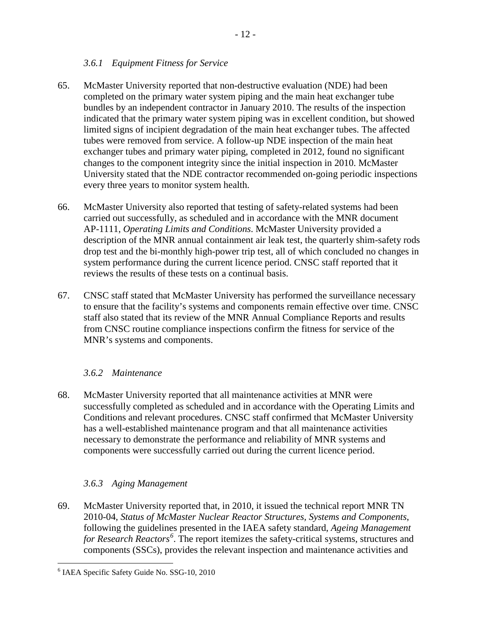#### <span id="page-15-0"></span>*3.6.1 Equipment Fitness for Service*

- McMaster University reported that non-destructive evaluation (NDE) had been completed on the primary water system piping and the main heat exchanger tube bundles by an independent contractor in January 2010. The results of the inspection indicated that the primary water system piping was in excellent condition, but showed limited signs of incipient degradation of the main heat exchanger tubes. The affected tubes were removed from service. A follow-up NDE inspection of the main heat exchanger tubes and primary water piping, completed in 2012, found no significant changes to the component integrity since the initial inspection in 2010. McMaster University stated that the NDE contractor recommended on-going periodic inspections every three years to monitor system health. 65.
- McMaster University also reported that testing of safety-related systems had been carried out successfully, as scheduled and in accordance with the MNR document AP-1111, *Operating Limits and Conditions*. McMaster University provided a description of the MNR annual containment air leak test, the quarterly shim-safety rods drop test and the bi-monthly high-power trip test, all of which concluded no changes in system performance during the current licence period. CNSC staff reported that it reviews the results of these tests on a continual basis. 66.
- CNSC staff stated that McMaster University has performed the surveillance necessary to ensure that the facility's systems and components remain effective over time. CNSC staff also stated that its review of the MNR Annual Compliance Reports and results from CNSC routine compliance inspections confirm the fitness for service of the MNR's systems and components. 67.

## <span id="page-15-1"></span>*3.6.2 Maintenance*

McMaster University reported that all maintenance activities at MNR were successfully completed as scheduled and in accordance with the Operating Limits and Conditions and relevant procedures. CNSC staff confirmed that McMaster University has a well-established maintenance program and that all maintenance activities necessary to demonstrate the performance and reliability of MNR systems and components were successfully carried out during the current licence period. 68.

## <span id="page-15-2"></span>*3.6.3 Aging Management*

McMaster University reported that, in 2010, it issued the technical report MNR TN 2010-04, *Status of McMaster Nuclear Reactor Structures, Systems and Components*, following the guidelines presented in the IAEA safety standard, *Ageing Management for Research Reactors[6](#page-15-3)* . The report itemizes the safety-critical systems, structures and components (SSCs), provides the relevant inspection and maintenance activities and 69.

 $\overline{a}$ 

 $\overline{a}$ 

<span id="page-15-3"></span><sup>6</sup> IAEA Specific Safety Guide No. SSG-10, 2010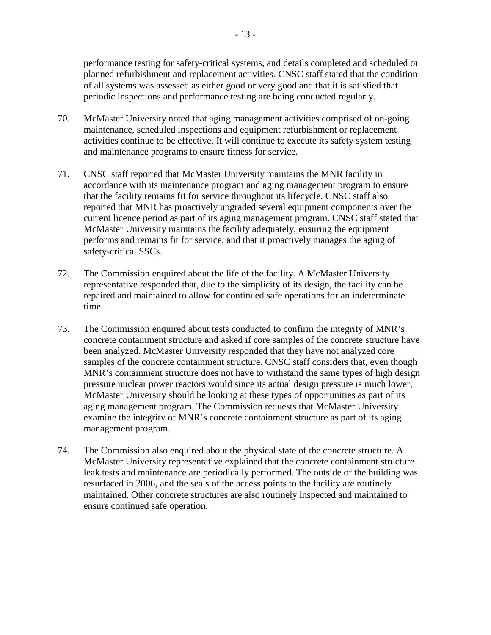performance testing for safety-critical systems, and details completed and scheduled or planned refurbishment and replacement activities. CNSC staff stated that the condition of all systems was assessed as either good or very good and that it is satisfied that periodic inspections and performance testing are being conducted regularly.

- McMaster University noted that aging management activities comprised of on-going maintenance, scheduled inspections and equipment refurbishment or replacement activities continue to be effective. It will continue to execute its safety system testing and maintenance programs to ensure fitness for service. 70.
- CNSC staff reported that McMaster University maintains the MNR facility in accordance with its maintenance program and aging management program to ensure that the facility remains fit for service throughout its lifecycle. CNSC staff also reported that MNR has proactively upgraded several equipment components over the current licence period as part of its aging management program. CNSC staff stated that McMaster University maintains the facility adequately, ensuring the equipment performs and remains fit for service, and that it proactively manages the aging of safety-critical SSCs. 71.
- The Commission enquired about the life of the facility. A McMaster University representative responded that, due to the simplicity of its design, the facility can be repaired and maintained to allow for continued safe operations for an indeterminate time. 72.
- The Commission enquired about tests conducted to confirm the integrity of MNR's concrete containment structure and asked if core samples of the concrete structure have been analyzed. McMaster University responded that they have not analyzed core samples of the concrete containment structure. CNSC staff considers that, even though MNR's containment structure does not have to withstand the same types of high design pressure nuclear power reactors would since its actual design pressure is much lower, McMaster University should be looking at these types of opportunities as part of its aging management program. The Commission requests that McMaster University examine the integrity of MNR's concrete containment structure as part of its aging management program. 73.
- The Commission also enquired about the physical state of the concrete structure. A McMaster University representative explained that the concrete containment structure leak tests and maintenance are periodically performed. The outside of the building was resurfaced in 2006, and the seals of the access points to the facility are routinely maintained. Other concrete structures are also routinely inspected and maintained to ensure continued safe operation. 74.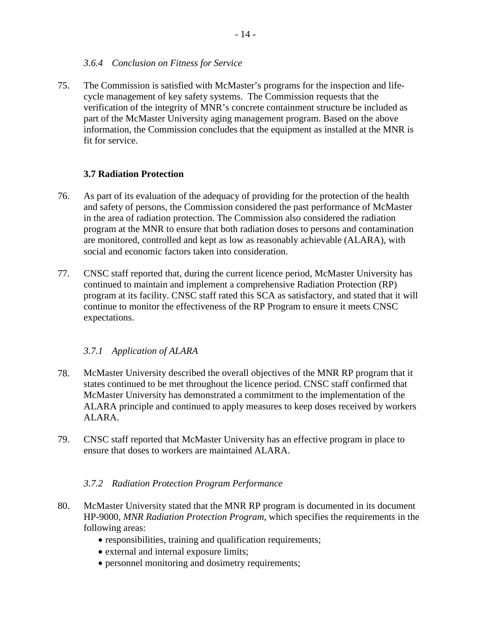#### <span id="page-17-0"></span>*3.6.4 Conclusion on Fitness for Service*

The Commission is satisfied with McMaster's programs for the inspection and lifecycle management of key safety systems. The Commission requests that the verification of the integrity of MNR's concrete containment structure be included as part of the McMaster University aging management program. Based on the above information, the Commission concludes that the equipment as installed at the MNR is fit for service. 75.

#### <span id="page-17-1"></span>**3.7 Radiation Protection**

- As part of its evaluation of the adequacy of providing for the protection of the health and safety of persons, the Commission considered the past performance of McMaster in the area of radiation protection. The Commission also considered the radiation program at the MNR to ensure that both radiation doses to persons and contamination are monitored, controlled and kept as low as reasonably achievable (ALARA), with social and economic factors taken into consideration. 76.
- CNSC staff reported that, during the current licence period, McMaster University has continued to maintain and implement a comprehensive Radiation Protection (RP) program at its facility. CNSC staff rated this SCA as satisfactory, and stated that it will continue to monitor the effectiveness of the RP Program to ensure it meets CNSC expectations. 77.

## <span id="page-17-2"></span>*3.7.1 Application of ALARA*

- McMaster University described the overall objectives of the MNR RP program that it states continued to be met throughout the licence period. CNSC staff confirmed that McMaster University has demonstrated a commitment to the implementation of the ALARA principle and continued to apply measures to keep doses received by workers ALARA. 78.
- CNSC staff reported that McMaster University has an effective program in place to ensure that doses to workers are maintained ALARA. 79.

#### <span id="page-17-3"></span>*3.7.2 Radiation Protection Program Performance*

- McMaster University stated that the MNR RP program is documented in its document HP-9000, *MNR Radiation Protection Program*, which specifies the requirements in the following areas: 80.
	- responsibilities, training and qualification requirements;
	- external and internal exposure limits;
	- personnel monitoring and dosimetry requirements; •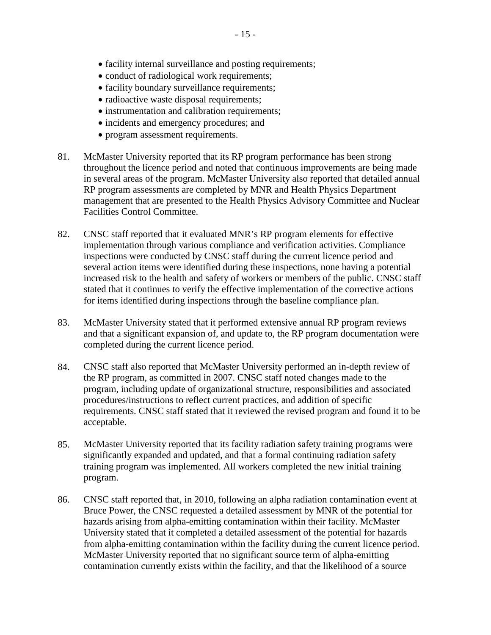- facility internal surveillance and posting requirements;
- conduct of radiological work requirements;
- facility boundary surveillance requirements;
- radioactive waste disposal requirements;
- instrumentation and calibration requirements;
- incidents and emergency procedures; and
- program assessment requirements.
- 81. McMaster University reported that its RP program performance has been strong throughout the licence period and noted that continuous improvements are being made in several areas of the program. McMaster University also reported that detailed annual RP program assessments are completed by MNR and Health Physics Department management that are presented to the Health Physics Advisory Committee and Nuclear Facilities Control Committee.
- CNSC staff reported that it evaluated MNR's RP program elements for effective implementation through various compliance and verification activities. Compliance inspections were conducted by CNSC staff during the current licence period and several action items were identified during these inspections, none having a potential increased risk to the health and safety of workers or members of the public. CNSC staff stated that it continues to verify the effective implementation of the corrective actions for items identified during inspections through the baseline compliance plan. 82.
- McMaster University stated that it performed extensive annual RP program reviews and that a significant expansion of, and update to, the RP program documentation were completed during the current licence period. 83.
- CNSC staff also reported that McMaster University performed an in-depth review of the RP program, as committed in 2007. CNSC staff noted changes made to the program, including update of organizational structure, responsibilities and associated procedures/instructions to reflect current practices, and addition of specific requirements. CNSC staff stated that it reviewed the revised program and found it to be acceptable. 84.
- McMaster University reported that its facility radiation safety training programs were significantly expanded and updated, and that a formal continuing radiation safety training program was implemented. All workers completed the new initial training program. 85.
- CNSC staff reported that, in 2010, following an alpha radiation contamination event at Bruce Power, the CNSC requested a detailed assessment by MNR of the potential for hazards arising from alpha-emitting contamination within their facility. McMaster University stated that it completed a detailed assessment of the potential for hazards from alpha-emitting contamination within the facility during the current licence period. McMaster University reported that no significant source term of alpha-emitting contamination currently exists within the facility, and that the likelihood of a source 86.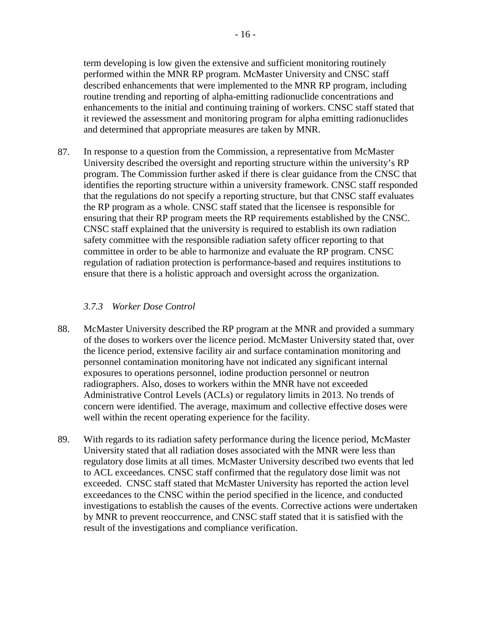term developing is low given the extensive and sufficient monitoring routinely performed within the MNR RP program. McMaster University and CNSC staff described enhancements that were implemented to the MNR RP program, including routine trending and reporting of alpha-emitting radionuclide concentrations and enhancements to the initial and continuing training of workers. CNSC staff stated that it reviewed the assessment and monitoring program for alpha emitting radionuclides and determined that appropriate measures are taken by MNR.

In response to a question from the Commission, a representative from McMaster University described the oversight and reporting structure within the university's RP program. The Commission further asked if there is clear guidance from the CNSC that identifies the reporting structure within a university framework. CNSC staff responded that the regulations do not specify a reporting structure, but that CNSC staff evaluates the RP program as a whole. CNSC staff stated that the licensee is responsible for ensuring that their RP program meets the RP requirements established by the CNSC. CNSC staff explained that the university is required to establish its own radiation safety committee with the responsible radiation safety officer reporting to that committee in order to be able to harmonize and evaluate the RP program. CNSC regulation of radiation protection is performance-based and requires institutions to ensure that there is a holistic approach and oversight across the organization. 87.

## <span id="page-19-0"></span>*3.7.3 Worker Dose Control*

- McMaster University described the RP program at the MNR and provided a summary of the doses to workers over the licence period. McMaster University stated that, over the licence period, extensive facility air and surface contamination monitoring and personnel contamination monitoring have not indicated any significant internal exposures to operations personnel, iodine production personnel or neutron radiographers. Also, doses to workers within the MNR have not exceeded Administrative Control Levels (ACLs) or regulatory limits in 2013. No trends of concern were identified. The average, maximum and collective effective doses were well within the recent operating experience for the facility. 88.
- With regards to its radiation safety performance during the licence period, McMaster University stated that all radiation doses associated with the MNR were less than regulatory dose limits at all times. McMaster University described two events that led to ACL exceedances. CNSC staff confirmed that the regulatory dose limit was not exceeded. CNSC staff stated that McMaster University has reported the action level exceedances to the CNSC within the period specified in the licence, and conducted investigations to establish the causes of the events. Corrective actions were undertaken by MNR to prevent reoccurrence, and CNSC staff stated that it is satisfied with the result of the investigations and compliance verification. 89.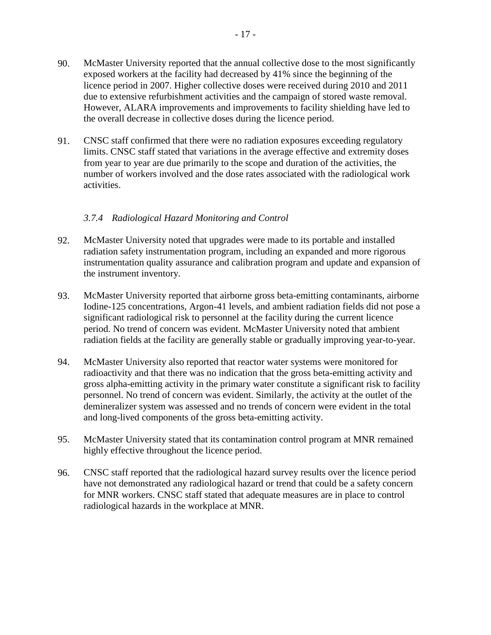CNSC staff confirmed that there were no radiation exposures exceeding regulatory limits. CNSC staff stated that variations in the average effective and extremity doses from year to year are due primarily to the scope and duration of the activities, the number of workers involved and the dose rates associated with the radiological work activities. 91.

## <span id="page-20-0"></span>*3.7.4 Radiological Hazard Monitoring and Control*

- McMaster University noted that upgrades were made to its portable and installed radiation safety instrumentation program, including an expanded and more rigorous instrumentation quality assurance and calibration program and update and expansion of the instrument inventory. 92.
- McMaster University reported that airborne gross beta-emitting contaminants, airborne Iodine-125 concentrations, Argon-41 levels, and ambient radiation fields did not pose a significant radiological risk to personnel at the facility during the current licence period. No trend of concern was evident. McMaster University noted that ambient radiation fields at the facility are generally stable or gradually improving year-to-year. 93.
- McMaster University also reported that reactor water systems were monitored for radioactivity and that there was no indication that the gross beta-emitting activity and gross alpha-emitting activity in the primary water constitute a significant risk to facility personnel. No trend of concern was evident. Similarly, the activity at the outlet of the demineralizer system was assessed and no trends of concern were evident in the total and long-lived components of the gross beta-emitting activity. 94.
- McMaster University stated that its contamination control program at MNR remained highly effective throughout the licence period. 95.
- CNSC staff reported that the radiological hazard survey results over the licence period have not demonstrated any radiological hazard or trend that could be a safety concern for MNR workers. CNSC staff stated that adequate measures are in place to control radiological hazards in the workplace at MNR. 96.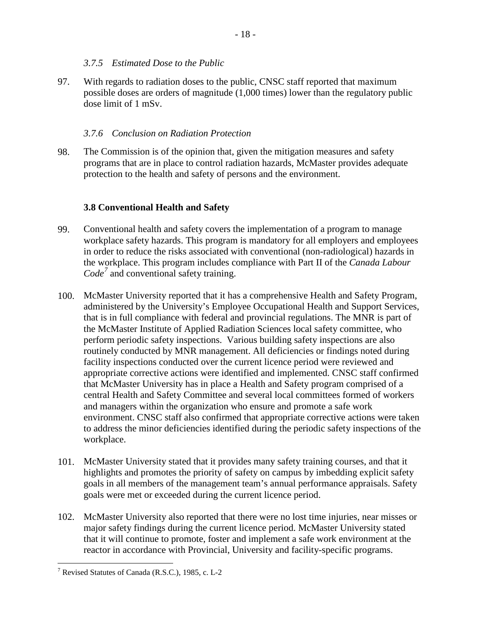#### <span id="page-21-0"></span>*3.7.5 Estimated Dose to the Public*

With regards to radiation doses to the public, CNSC staff reported that maximum possible doses are orders of magnitude (1,000 times) lower than the regulatory public dose limit of 1 mSv. 97.

#### <span id="page-21-1"></span>*3.7.6 Conclusion on Radiation Protection*

The Commission is of the opinion that, given the mitigation measures and safety programs that are in place to control radiation hazards, McMaster provides adequate protection to the health and safety of persons and the environment. 98.

#### <span id="page-21-2"></span>**3.8 Conventional Health and Safety**

- Conventional health and safety covers the implementation of a program to manage workplace safety hazards. This program is mandatory for all employers and employees in order to reduce the risks associated with conventional (non-radiological) hazards in the workplace. This program includes compliance with Part II of the *Canada Labour Code[7](#page-21-3)* and conventional safety training. 99.
- 100. McMaster University reported that it has a comprehensive Health and Safety Program, administered by the University's Employee Occupational Health and Support Services, that is in full compliance with federal and provincial regulations. The MNR is part of the McMaster Institute of Applied Radiation Sciences local safety committee, who perform periodic safety inspections. Various building safety inspections are also routinely conducted by MNR management. All deficiencies or findings noted during facility inspections conducted over the current licence period were reviewed and appropriate corrective actions were identified and implemented. CNSC staff confirmed that McMaster University has in place a Health and Safety program comprised of a central Health and Safety Committee and several local committees formed of workers and managers within the organization who ensure and promote a safe work environment. CNSC staff also confirmed that appropriate corrective actions were taken to address the minor deficiencies identified during the periodic safety inspections of the workplace.
- 101. McMaster University stated that it provides many safety training courses, and that it highlights and promotes the priority of safety on campus by imbedding explicit safety goals in all members of the management team's annual performance appraisals. Safety goals were met or exceeded during the current licence period.
- 102. McMaster University also reported that there were no lost time injuries, near misses or major safety findings during the current licence period. McMaster University stated that it will continue to promote, foster and implement a safe work environment at the reactor in accordance with Provincial, University and facility-specific programs.

<span id="page-21-3"></span> $<sup>7</sup>$  Revised Statutes of Canada (R.S.C.), 1985, c. L-2</sup>  $\overline{a}$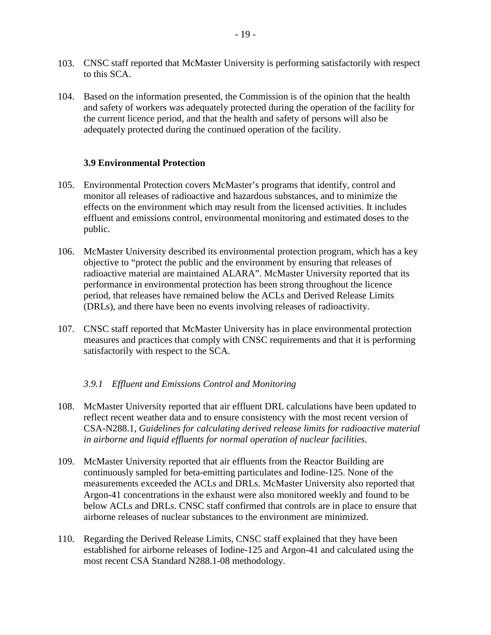- 103. CNSC staff reported that McMaster University is performing satisfactorily with respect to this SCA.
- 104. Based on the information presented, the Commission is of the opinion that the health and safety of workers was adequately protected during the operation of the facility for the current licence period, and that the health and safety of persons will also be adequately protected during the continued operation of the facility.

#### <span id="page-22-0"></span>**3.9 Environmental Protection**

- Environmental Protection covers McMaster's programs that identify, control and 105. monitor all releases of radioactive and hazardous substances, and to minimize the effects on the environment which may result from the licensed activities. It includes effluent and emissions control, environmental monitoring and estimated doses to the public.
- 106. McMaster University described its environmental protection program, which has a key objective to "protect the public and the environment by ensuring that releases of radioactive material are maintained ALARA". McMaster University reported that its performance in environmental protection has been strong throughout the licence period, that releases have remained below the ACLs and Derived Release Limits (DRLs), and there have been no events involving releases of radioactivity.
- 107. CNSC staff reported that McMaster University has in place environmental protection measures and practices that comply with CNSC requirements and that it is performing satisfactorily with respect to the SCA.

## <span id="page-22-1"></span>*3.9.1 Effluent and Emissions Control and Monitoring*

- 108. McMaster University reported that air effluent DRL calculations have been updated to reflect recent weather data and to ensure consistency with the most recent version of CSA-N288.1, *Guidelines for calculating derived release limits for radioactive material in airborne and liquid effluents for normal operation of nuclear facilities*.
- 109. McMaster University reported that air effluents from the Reactor Building are continuously sampled for beta-emitting particulates and Iodine-125. None of the measurements exceeded the ACLs and DRLs. McMaster University also reported that Argon-41 concentrations in the exhaust were also monitored weekly and found to be below ACLs and DRLs. CNSC staff confirmed that controls are in place to ensure that airborne releases of nuclear substances to the environment are minimized.
- 110. Regarding the Derived Release Limits, CNSC staff explained that they have been established for airborne releases of Iodine-125 and Argon-41 and calculated using the most recent CSA Standard N288.1-08 methodology.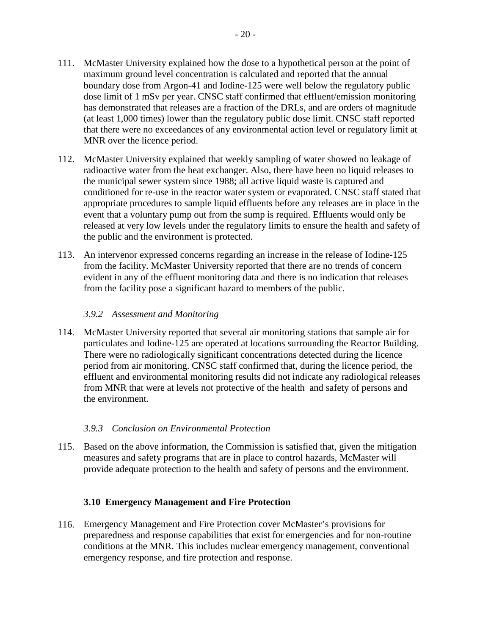- 111. McMaster University explained how the dose to a hypothetical person at the point of maximum ground level concentration is calculated and reported that the annual boundary dose from Argon-41 and Iodine-125 were well below the regulatory public dose limit of 1 mSv per year. CNSC staff confirmed that effluent/emission monitoring has demonstrated that releases are a fraction of the DRLs, and are orders of magnitude (at least 1,000 times) lower than the regulatory public dose limit. CNSC staff reported that there were no exceedances of any environmental action level or regulatory limit at MNR over the licence period.
- 112. McMaster University explained that weekly sampling of water showed no leakage of radioactive water from the heat exchanger. Also, there have been no liquid releases to the municipal sewer system since 1988; all active liquid waste is captured and conditioned for re-use in the reactor water system or evaporated. CNSC staff stated that appropriate procedures to sample liquid effluents before any releases are in place in the event that a voluntary pump out from the sump is required. Effluents would only be released at very low levels under the regulatory limits to ensure the health and safety of the public and the environment is protected.
- An intervenor expressed concerns regarding an increase in the release of Iodine-125 113. from the facility. McMaster University reported that there are no trends of concern evident in any of the effluent monitoring data and there is no indication that releases from the facility pose a significant hazard to members of the public.

#### <span id="page-23-0"></span>*3.9.2 Assessment and Monitoring*

114. McMaster University reported that several air monitoring stations that sample air for particulates and Iodine-125 are operated at locations surrounding the Reactor Building. There were no radiologically significant concentrations detected during the licence period from air monitoring. CNSC staff confirmed that, during the licence period, the effluent and environmental monitoring results did not indicate any radiological releases from MNR that were at levels not protective of the health and safety of persons and the environment.

## <span id="page-23-1"></span>*3.9.3 Conclusion on Environmental Protection*

115. Based on the above information, the Commission is satisfied that, given the mitigation measures and safety programs that are in place to control hazards, McMaster will provide adequate protection to the health and safety of persons and the environment.

## <span id="page-23-2"></span>**3.10 Emergency Management and Fire Protection**

Emergency Management and Fire Protection cover McMaster's provisions for 116.preparedness and response capabilities that exist for emergencies and for non-routine conditions at the MNR. This includes nuclear emergency management, conventional emergency response, and fire protection and response.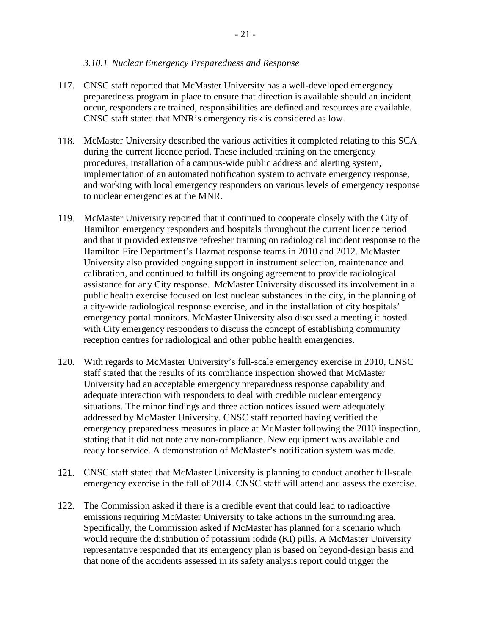#### <span id="page-24-0"></span>*3.10.1 Nuclear Emergency Preparedness and Response*

- CNSC staff reported that McMaster University has a well-developed emergency 117. preparedness program in place to ensure that direction is available should an incident occur, responders are trained, responsibilities are defined and resources are available. CNSC staff stated that MNR's emergency risk is considered as low.
- 118. McMaster University described the various activities it completed relating to this SCA during the current licence period. These included training on the emergency procedures, installation of a campus-wide public address and alerting system, implementation of an automated notification system to activate emergency response, and working with local emergency responders on various levels of emergency response to nuclear emergencies at the MNR.
- McMaster University reported that it continued to cooperate closely with the City of 119. Hamilton emergency responders and hospitals throughout the current licence period and that it provided extensive refresher training on radiological incident response to the Hamilton Fire Department's Hazmat response teams in 2010 and 2012. McMaster University also provided ongoing support in instrument selection, maintenance and calibration, and continued to fulfill its ongoing agreement to provide radiological assistance for any City response. McMaster University discussed its involvement in a public health exercise focused on lost nuclear substances in the city, in the planning of a city-wide radiological response exercise, and in the installation of city hospitals' emergency portal monitors. McMaster University also discussed a meeting it hosted with City emergency responders to discuss the concept of establishing community reception centres for radiological and other public health emergencies.
- With regards to McMaster University's full-scale emergency exercise in 2010, CNSC 120. staff stated that the results of its compliance inspection showed that McMaster University had an acceptable emergency preparedness response capability and adequate interaction with responders to deal with credible nuclear emergency situations. The minor findings and three action notices issued were adequately addressed by McMaster University. CNSC staff reported having verified the emergency preparedness measures in place at McMaster following the 2010 inspection, stating that it did not note any non-compliance. New equipment was available and ready for service. A demonstration of McMaster's notification system was made.
- CNSC staff stated that McMaster University is planning to conduct another full-scale 121. emergency exercise in the fall of 2014. CNSC staff will attend and assess the exercise.
- 122. The Commission asked if there is a credible event that could lead to radioactive emissions requiring McMaster University to take actions in the surrounding area. Specifically, the Commission asked if McMaster has planned for a scenario which would require the distribution of potassium iodide (KI) pills. A McMaster University representative responded that its emergency plan is based on beyond-design basis and that none of the accidents assessed in its safety analysis report could trigger the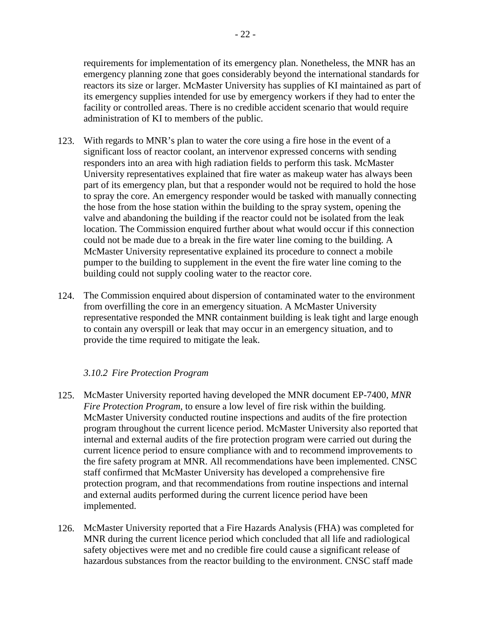facility or controlled areas. There is no credible accident scenario that would require

administration of KI to members of the public.

- With regards to MNR's plan to water the core using a fire hose in the event of a 123. significant loss of reactor coolant, an intervenor expressed concerns with sending responders into an area with high radiation fields to perform this task. McMaster University representatives explained that fire water as makeup water has always been part of its emergency plan, but that a responder would not be required to hold the hose to spray the core. An emergency responder would be tasked with manually connecting the hose from the hose station within the building to the spray system, opening the valve and abandoning the building if the reactor could not be isolated from the leak location. The Commission enquired further about what would occur if this connection could not be made due to a break in the fire water line coming to the building. A McMaster University representative explained its procedure to connect a mobile pumper to the building to supplement in the event the fire water line coming to the building could not supply cooling water to the reactor core.
- 124. The Commission enquired about dispersion of contaminated water to the environment from overfilling the core in an emergency situation. A McMaster University representative responded the MNR containment building is leak tight and large enough to contain any overspill or leak that may occur in an emergency situation, and to provide the time required to mitigate the leak.

## <span id="page-25-0"></span>*3.10.2 Fire Protection Program*

- 125. McMaster University reported having developed the MNR document EP-7400, MNR *Fire Protection Program*, to ensure a low level of fire risk within the building. McMaster University conducted routine inspections and audits of the fire protection program throughout the current licence period. McMaster University also reported that internal and external audits of the fire protection program were carried out during the current licence period to ensure compliance with and to recommend improvements to the fire safety program at MNR. All recommendations have been implemented. CNSC staff confirmed that McMaster University has developed a comprehensive fire protection program, and that recommendations from routine inspections and internal and external audits performed during the current licence period have been implemented.
- McMaster University reported that a Fire Hazards Analysis (FHA) was completed for 126.MNR during the current licence period which concluded that all life and radiological safety objectives were met and no credible fire could cause a significant release of hazardous substances from the reactor building to the environment. CNSC staff made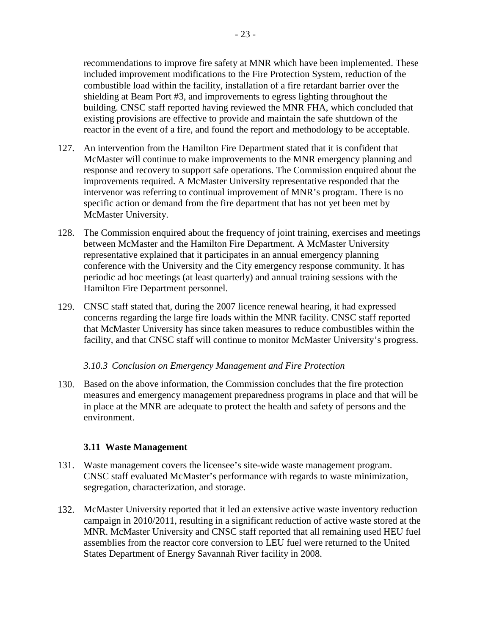recommendations to improve fire safety at MNR which have been implemented. These included improvement modifications to the Fire Protection System, reduction of the combustible load within the facility, installation of a fire retardant barrier over the shielding at Beam Port #3, and improvements to egress lighting throughout the building. CNSC staff reported having reviewed the MNR FHA, which concluded that existing provisions are effective to provide and maintain the safe shutdown of the reactor in the event of a fire, and found the report and methodology to be acceptable.

- 127. An intervention from the Hamilton Fire Department stated that it is confident that McMaster will continue to make improvements to the MNR emergency planning and response and recovery to support safe operations. The Commission enquired about the improvements required. A McMaster University representative responded that the intervenor was referring to continual improvement of MNR's program. There is no specific action or demand from the fire department that has not yet been met by McMaster University.
- 128. The Commission enquired about the frequency of joint training, exercises and meetings between McMaster and the Hamilton Fire Department. A McMaster University representative explained that it participates in an annual emergency planning conference with the University and the City emergency response community. It has periodic ad hoc meetings (at least quarterly) and annual training sessions with the Hamilton Fire Department personnel.
- CNSC staff stated that, during the 2007 licence renewal hearing, it had expressed 129. concerns regarding the large fire loads within the MNR facility. CNSC staff reported that McMaster University has since taken measures to reduce combustibles within the facility, and that CNSC staff will continue to monitor McMaster University's progress.

#### <span id="page-26-0"></span>*3.10.3 Conclusion on Emergency Management and Fire Protection*

130. Based on the above information, the Commission concludes that the fire protection measures and emergency management preparedness programs in place and that will be in place at the MNR are adequate to protect the health and safety of persons and the environment.

#### <span id="page-26-1"></span>**3.11 Waste Management**

- Waste management covers the licensee's site-wide waste management program. 131. CNSC staff evaluated McMaster's performance with regards to waste minimization, segregation, characterization, and storage.
- McMaster University reported that it led an extensive active waste inventory reduction 132.campaign in 2010/2011, resulting in a significant reduction of active waste stored at the MNR. McMaster University and CNSC staff reported that all remaining used HEU fuel assemblies from the reactor core conversion to LEU fuel were returned to the United States Department of Energy Savannah River facility in 2008.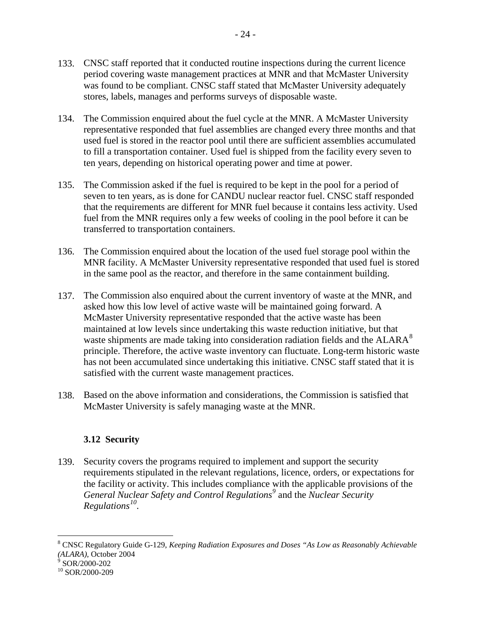- 133. CNSC staff reported that it conducted routine inspections during the current licence period covering waste management practices at MNR and that McMaster University was found to be compliant. CNSC staff stated that McMaster University adequately stores, labels, manages and performs surveys of disposable waste.
- The Commission enquired about the fuel cycle at the MNR. A McMaster University representative responded that fuel assemblies are changed every three months and that used fuel is stored in the reactor pool until there are sufficient assemblies accumulated to fill a transportation container. Used fuel is shipped from the facility every seven to ten years, depending on historical operating power and time at power. 134.
- 135. The Commission asked if the fuel is required to be kept in the pool for a period of seven to ten years, as is done for CANDU nuclear reactor fuel. CNSC staff responded that the requirements are different for MNR fuel because it contains less activity. Used fuel from the MNR requires only a few weeks of cooling in the pool before it can be transferred to transportation containers.
- 136. The Commission enquired about the location of the used fuel storage pool within the MNR facility. A McMaster University representative responded that used fuel is stored in the same pool as the reactor, and therefore in the same containment building.
- 137. The Commission also enquired about the current inventory of waste at the MNR, and asked how this low level of active waste will be maintained going forward. A McMaster University representative responded that the active waste has been maintained at low levels since undertaking this waste reduction initiative, but that waste shipments are made taking into consideration radiation fields and the  $ALARA^8$  $ALARA^8$ principle. Therefore, the active waste inventory can fluctuate. Long-term historic waste has not been accumulated since undertaking this initiative. CNSC staff stated that it is satisfied with the current waste management practices.
- 138. Based on the above information and considerations, the Commission is satisfied that McMaster University is safely managing waste at the MNR.

# <span id="page-27-0"></span>**3.12 Security**

139. Security covers the programs required to implement and support the security requirements stipulated in the relevant regulations, licence, orders, or expectations for the facility or activity. This includes compliance with the applicable provisions of the *General Nuclear Safety and Control Regulations[9](#page-27-2)* and the *Nuclear Security Regulations[10](#page-27-3)*.

<span id="page-27-3"></span><span id="page-27-2"></span>

 $\overline{a}$ 

<span id="page-27-1"></span><sup>8</sup> CNSC Regulatory Guide G-129, *Keeping Radiation Exposures and Doses "As Low as Reasonably Achievable (ALARA)*, October 2004<br><sup>9</sup> SOR/2000-202<br><sup>10</sup> SOR/2000-209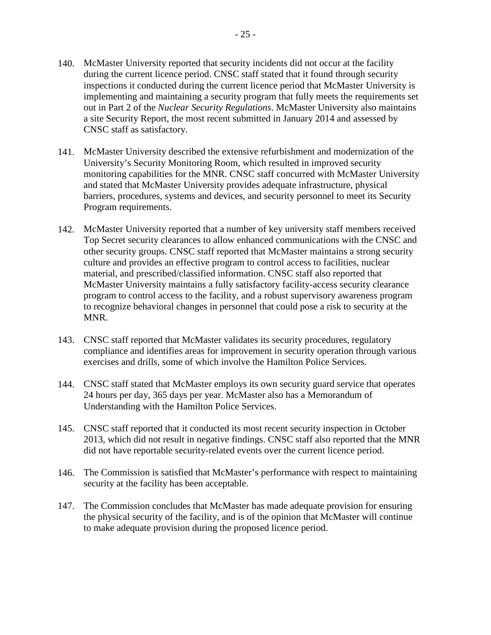- 140. McMaster University reported that security incidents did not occur at the facility during the current licence period. CNSC staff stated that it found through security inspections it conducted during the current licence period that McMaster University is implementing and maintaining a security program that fully meets the requirements set out in Part 2 of the *Nuclear Security Regulations*. McMaster University also maintains a site Security Report, the most recent submitted in January 2014 and assessed by CNSC staff as satisfactory.
- McMaster University described the extensive refurbishment and modernization of the 141. University's Security Monitoring Room, which resulted in improved security monitoring capabilities for the MNR. CNSC staff concurred with McMaster University and stated that McMaster University provides adequate infrastructure, physical barriers, procedures, systems and devices, and security personnel to meet its Security Program requirements.
- 142. McMaster University reported that a number of key university staff members received Top Secret security clearances to allow enhanced communications with the CNSC and other security groups. CNSC staff reported that McMaster maintains a strong security culture and provides an effective program to control access to facilities, nuclear material, and prescribed/classified information. CNSC staff also reported that McMaster University maintains a fully satisfactory facility-access security clearance program to control access to the facility, and a robust supervisory awareness program to recognize behavioral changes in personnel that could pose a risk to security at the MNR.
- CNSC staff reported that McMaster validates its security procedures, regulatory 143. compliance and identifies areas for improvement in security operation through various exercises and drills, some of which involve the Hamilton Police Services.
- CNSC staff stated that McMaster employs its own security guard service that operates 144. 24 hours per day, 365 days per year. McMaster also has a Memorandum of Understanding with the Hamilton Police Services.
- CNSC staff reported that it conducted its most recent security inspection in October 145. 2013, which did not result in negative findings. CNSC staff also reported that the MNR did not have reportable security-related events over the current licence period.
- The Commission is satisfied that McMaster's performance with respect to maintaining 146. security at the facility has been acceptable.
- 147. The Commission concludes that McMaster has made adequate provision for ensuring the physical security of the facility, and is of the opinion that McMaster will continue to make adequate provision during the proposed licence period.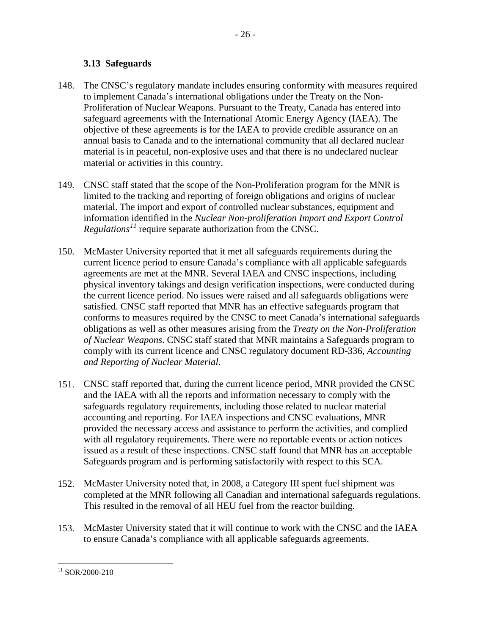## <span id="page-29-0"></span>**3.13 Safeguards**

- The CNSC's regulatory mandate includes ensuring conformity with measures required to implement Canada's international obligations under the Treaty on the Non-Proliferation of Nuclear Weapons. Pursuant to the Treaty, Canada has entered into safeguard agreements with the International Atomic Energy Agency (IAEA). The objective of these agreements is for the IAEA to provide credible assurance on an annual basis to Canada and to the international community that all declared nuclear material is in peaceful, non-explosive uses and that there is no undeclared nuclear material or activities in this country. 148.
- CNSC staff stated that the scope of the Non-Proliferation program for the MNR is 149. limited to the tracking and reporting of foreign obligations and origins of nuclear material. The import and export of controlled nuclear substances, equipment and information identified in the *Nuclear Non-proliferation Import and Export Control Regulations[11](#page-29-1)* require separate authorization from the CNSC.
- McMaster University reported that it met all safeguards requirements during the 150. current licence period to ensure Canada's compliance with all applicable safeguards agreements are met at the MNR. Several IAEA and CNSC inspections, including physical inventory takings and design verification inspections, were conducted during the current licence period. No issues were raised and all safeguards obligations were satisfied. CNSC staff reported that MNR has an effective safeguards program that conforms to measures required by the CNSC to meet Canada's international safeguards obligations as well as other measures arising from the *Treaty on the Non-Proliferation of Nuclear Weapons*. CNSC staff stated that MNR maintains a Safeguards program to comply with its current licence and CNSC regulatory document RD-336, *Accounting and Reporting of Nuclear Material*.
- CNSC staff reported that, during the current licence period, MNR provided the CNSC 151. and the IAEA with all the reports and information necessary to comply with the safeguards regulatory requirements, including those related to nuclear material accounting and reporting. For IAEA inspections and CNSC evaluations, MNR provided the necessary access and assistance to perform the activities, and complied with all regulatory requirements. There were no reportable events or action notices issued as a result of these inspections. CNSC staff found that MNR has an acceptable Safeguards program and is performing satisfactorily with respect to this SCA.
- McMaster University noted that, in 2008, a Category III spent fuel shipment was 152. completed at the MNR following all Canadian and international safeguards regulations. This resulted in the removal of all HEU fuel from the reactor building.
- McMaster University stated that it will continue to work with the CNSC and the IAEA 153. to ensure Canada's compliance with all applicable safeguards agreements.

<span id="page-29-1"></span> $11$  SOR/2000-210  $\overline{a}$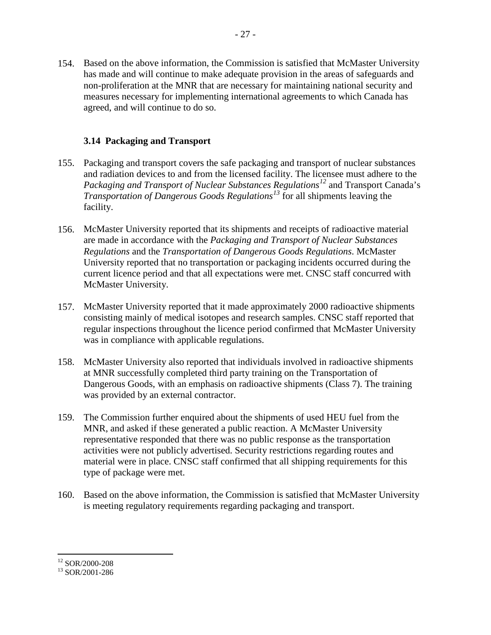154. Based on the above information, the Commission is satisfied that McMaster University has made and will continue to make adequate provision in the areas of safeguards and non-proliferation at the MNR that are necessary for maintaining national security and measures necessary for implementing international agreements to which Canada has agreed, and will continue to do so.

#### <span id="page-30-0"></span>**3.14 Packaging and Transport**

- 155. Packaging and transport covers the safe packaging and transport of nuclear substances and radiation devices to and from the licensed facility. The licensee must adhere to the *Packaging and Transport of Nuclear Substances Regulations[12](#page-30-1)* and Transport Canada's *Transportation of Dangerous Goods Regulations[13](#page-30-2)* for all shipments leaving the facility.
- 156. McMaster University reported that its shipments and receipts of radioactive material are made in accordance with the *Packaging and Transport of Nuclear Substances Regulations* and the *Transportation of Dangerous Goods Regulations*. McMaster University reported that no transportation or packaging incidents occurred during the current licence period and that all expectations were met. CNSC staff concurred with McMaster University.
- 157. McMaster University reported that it made approximately 2000 radioactive shipments consisting mainly of medical isotopes and research samples. CNSC staff reported that regular inspections throughout the licence period confirmed that McMaster University was in compliance with applicable regulations.
- McMaster University also reported that individuals involved in radioactive shipments 158. at MNR successfully completed third party training on the Transportation of Dangerous Goods, with an emphasis on radioactive shipments (Class 7). The training was provided by an external contractor.
- 159. The Commission further enquired about the shipments of used HEU fuel from the MNR, and asked if these generated a public reaction. A McMaster University representative responded that there was no public response as the transportation activities were not publicly advertised. Security restrictions regarding routes and material were in place. CNSC staff confirmed that all shipping requirements for this type of package were met.
- 160. Based on the above information, the Commission is satisfied that McMaster University is meeting regulatory requirements regarding packaging and transport.

<span id="page-30-1"></span> $12$  SOR/2000-208

<span id="page-30-2"></span> $13$  SOR/2001-286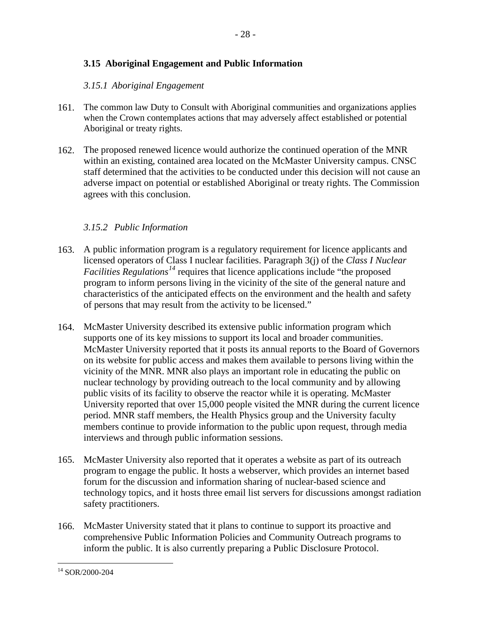# <span id="page-31-0"></span>**3.15 Aboriginal Engagement and Public Information**

#### <span id="page-31-1"></span>*3.15.1 Aboriginal Engagement*

- The common law Duty to Consult with Aboriginal communities and organizations applies 161. when the Crown contemplates actions that may adversely affect established or potential Aboriginal or treaty rights.
- 162. The proposed renewed licence would authorize the continued operation of the MNR within an existing, contained area located on the McMaster University campus. CNSC staff determined that the activities to be conducted under this decision will not cause an adverse impact on potential or established Aboriginal or treaty rights. The Commission agrees with this conclusion.

## <span id="page-31-2"></span>*3.15.2 Public Information*

- A public information program is a regulatory requirement for licence applicants and 163. licensed operators of Class I nuclear facilities. Paragraph 3(j) of the *Class I Nuclear Facilities Regulations[14](#page-31-3)* requires that licence applications include "the proposed program to inform persons living in the vicinity of the site of the general nature and characteristics of the anticipated effects on the environment and the health and safety of persons that may result from the activity to be licensed."
- McMaster University described its extensive public information program which 164. supports one of its key missions to support its local and broader communities. McMaster University reported that it posts its annual reports to the Board of Governors on its website for public access and makes them available to persons living within the vicinity of the MNR. MNR also plays an important role in educating the public on nuclear technology by providing outreach to the local community and by allowing public visits of its facility to observe the reactor while it is operating. McMaster University reported that over 15,000 people visited the MNR during the current licence period. MNR staff members, the Health Physics group and the University faculty members continue to provide information to the public upon request, through media interviews and through public information sessions.
- McMaster University also reported that it operates a website as part of its outreach 165. program to engage the public. It hosts a webserver, which provides an internet based forum for the discussion and information sharing of nuclear-based science and technology topics, and it hosts three email list servers for discussions amongst radiation safety practitioners.
- 166. McMaster University stated that it plans to continue to support its proactive and comprehensive Public Information Policies and Community Outreach programs to inform the public. It is also currently preparing a Public Disclosure Protocol.

<span id="page-31-3"></span><sup>14</sup> SOR/2000-204  $\overline{a}$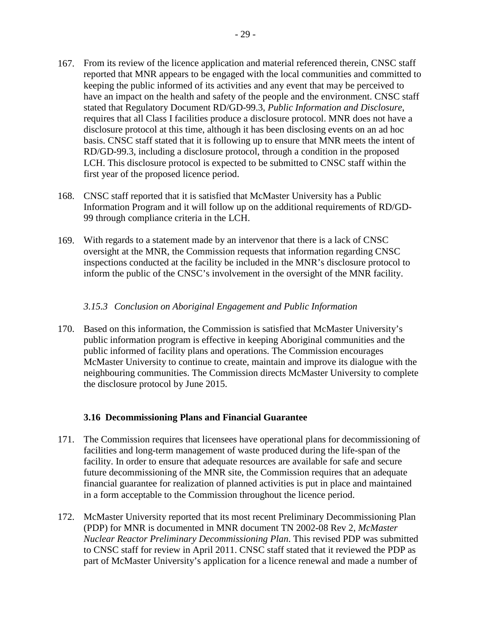- 167. From its review of the licence application and material referenced therein, CNSC staff reported that MNR appears to be engaged with the local communities and committed to keeping the public informed of its activities and any event that may be perceived to have an impact on the health and safety of the people and the environment. CNSC staff stated that Regulatory Document RD/GD-99.3, *Public Information and Disclosure*, requires that all Class I facilities produce a disclosure protocol. MNR does not have a disclosure protocol at this time, although it has been disclosing events on an ad hoc basis. CNSC staff stated that it is following up to ensure that MNR meets the intent of RD/GD-99.3, including a disclosure protocol, through a condition in the proposed LCH. This disclosure protocol is expected to be submitted to CNSC staff within the first year of the proposed licence period.
- CNSC staff reported that it is satisfied that McMaster University has a Public 168. Information Program and it will follow up on the additional requirements of RD/GD-99 through compliance criteria in the LCH.
- With regards to a statement made by an intervenor that there is a lack of CNSC 169. oversight at the MNR, the Commission requests that information regarding CNSC inspections conducted at the facility be included in the MNR's disclosure protocol to inform the public of the CNSC's involvement in the oversight of the MNR facility.

## <span id="page-32-0"></span>*3.15.3 Conclusion on Aboriginal Engagement and Public Information*

170. Based on this information, the Commission is satisfied that McMaster University's public information program is effective in keeping Aboriginal communities and the public informed of facility plans and operations. The Commission encourages McMaster University to continue to create, maintain and improve its dialogue with the neighbouring communities. The Commission directs McMaster University to complete the disclosure protocol by June 2015.

## <span id="page-32-1"></span>**3.16 Decommissioning Plans and Financial Guarantee**

- 171. The Commission requires that licensees have operational plans for decommissioning of facilities and long-term management of waste produced during the life-span of the facility. In order to ensure that adequate resources are available for safe and secure future decommissioning of the MNR site, the Commission requires that an adequate financial guarantee for realization of planned activities is put in place and maintained in a form acceptable to the Commission throughout the licence period.
- 172. McMaster University reported that its most recent Preliminary Decommissioning Plan (PDP) for MNR is documented in MNR document TN 2002-08 Rev 2, *McMaster Nuclear Reactor Preliminary Decommissioning Plan*. This revised PDP was submitted to CNSC staff for review in April 2011. CNSC staff stated that it reviewed the PDP as part of McMaster University's application for a licence renewal and made a number of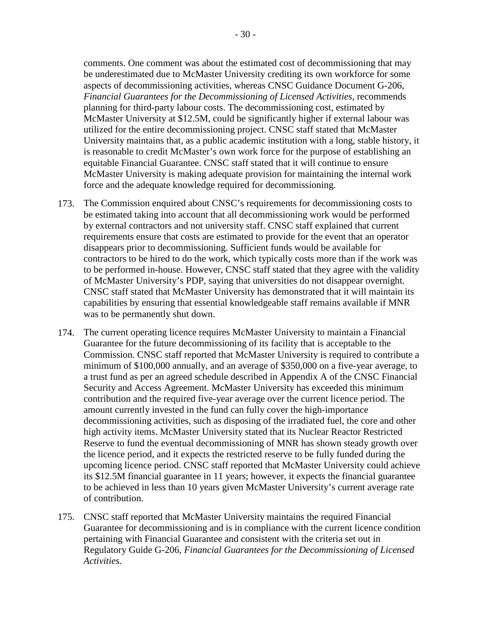comments. One comment was about the estimated cost of decommissioning that may be underestimated due to McMaster University crediting its own workforce for some aspects of decommissioning activities, whereas CNSC Guidance Document G-206, *Financial Guarantees for the Decommissioning of Licensed Activities*, recommends planning for third-party labour costs. The decommissioning cost, estimated by McMaster University at \$12.5M, could be significantly higher if external labour was utilized for the entire decommissioning project. CNSC staff stated that McMaster University maintains that, as a public academic institution with a long, stable history, it is reasonable to credit McMaster's own work force for the purpose of establishing an equitable Financial Guarantee. CNSC staff stated that it will continue to ensure McMaster University is making adequate provision for maintaining the internal work force and the adequate knowledge required for decommissioning.

- 173. The Commission enquired about CNSC's requirements for decommissioning costs to be estimated taking into account that all decommissioning work would be performed by external contractors and not university staff. CNSC staff explained that current requirements ensure that costs are estimated to provide for the event that an operator disappears prior to decommissioning. Sufficient funds would be available for contractors to be hired to do the work, which typically costs more than if the work was to be performed in-house. However, CNSC staff stated that they agree with the validity of McMaster University's PDP, saying that universities do not disappear overnight. CNSC staff stated that McMaster University has demonstrated that it will maintain its capabilities by ensuring that essential knowledgeable staff remains available if MNR was to be permanently shut down.
- The current operating licence requires McMaster University to maintain a Financial 174. Guarantee for the future decommissioning of its facility that is acceptable to the Commission. CNSC staff reported that McMaster University is required to contribute a minimum of \$100,000 annually, and an average of \$350,000 on a five-year average, to a trust fund as per an agreed schedule described in Appendix A of the CNSC Financial Security and Access Agreement. McMaster University has exceeded this minimum contribution and the required five-year average over the current licence period. The amount currently invested in the fund can fully cover the high-importance decommissioning activities, such as disposing of the irradiated fuel, the core and other high activity items. McMaster University stated that its Nuclear Reactor Restricted Reserve to fund the eventual decommissioning of MNR has shown steady growth over the licence period, and it expects the restricted reserve to be fully funded during the upcoming licence period. CNSC staff reported that McMaster University could achieve its \$12.5M financial guarantee in 11 years; however, it expects the financial guarantee to be achieved in less than 10 years given McMaster University's current average rate of contribution.
- 175. CNSC staff reported that McMaster University maintains the required Financial Guarantee for decommissioning and is in compliance with the current licence condition pertaining with Financial Guarantee and consistent with the criteria set out in Regulatory Guide G-206, *Financial Guarantees for the Decommissioning of Licensed Activities*.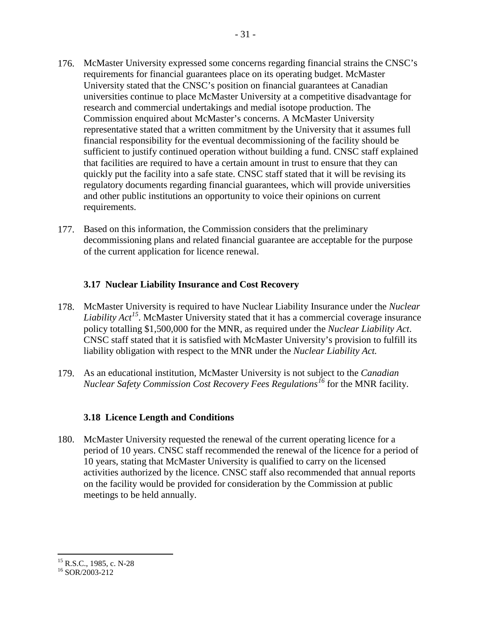- 176. McMaster University expressed some concerns regarding financial strains the CNSC's requirements for financial guarantees place on its operating budget. McMaster University stated that the CNSC's position on financial guarantees at Canadian universities continue to place McMaster University at a competitive disadvantage for research and commercial undertakings and medial isotope production. The Commission enquired about McMaster's concerns. A McMaster University representative stated that a written commitment by the University that it assumes full financial responsibility for the eventual decommissioning of the facility should be sufficient to justify continued operation without building a fund. CNSC staff explained that facilities are required to have a certain amount in trust to ensure that they can quickly put the facility into a safe state. CNSC staff stated that it will be revising its regulatory documents regarding financial guarantees, which will provide universities and other public institutions an opportunity to voice their opinions on current requirements.
- 177. Based on this information, the Commission considers that the preliminary decommissioning plans and related financial guarantee are acceptable for the purpose of the current application for licence renewal.

## <span id="page-34-0"></span>**3.17 Nuclear Liability Insurance and Cost Recovery**

- McMaster University is required to have Nuclear Liability Insurance under the *Nuclear*  178. *Liability Act[15](#page-34-2)*. McMaster University stated that it has a commercial coverage insurance policy totalling \$1,500,000 for the MNR, as required under the *Nuclear Liability Act*. CNSC staff stated that it is satisfied with McMaster University's provision to fulfill its liability obligation with respect to the MNR under the *Nuclear Liability Act.*
- As an educational institution, McMaster University is not subject to the *Canadian*  179. *Nuclear Safety Commission Cost Recovery Fees Regulations[16](#page-34-3)* for the MNR facility.

# <span id="page-34-1"></span>**3.18 Licence Length and Conditions**

 $\overline{a}$ 

180. McMaster University requested the renewal of the current operating licence for a period of 10 years. CNSC staff recommended the renewal of the licence for a period of 10 years, stating that McMaster University is qualified to carry on the licensed activities authorized by the licence. CNSC staff also recommended that annual reports on the facility would be provided for consideration by the Commission at public meetings to be held annually.

<span id="page-34-2"></span> $\overline{a}$ <sup>15</sup> R.S.C., 1985, c. N-28<br><sup>16</sup> SOR/2003-212

<span id="page-34-3"></span>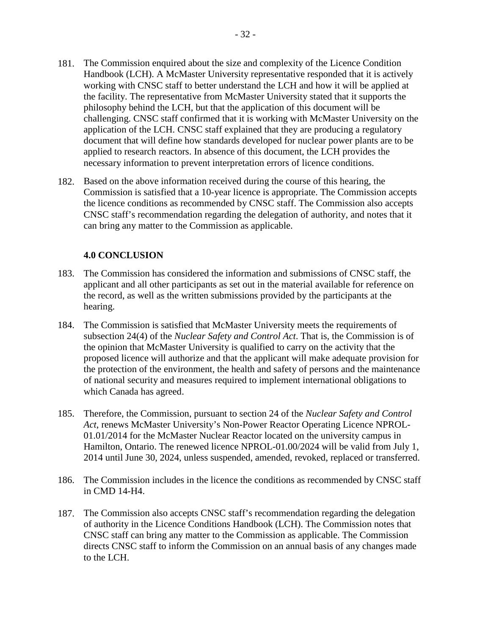- 181. The Commission enquired about the size and complexity of the Licence Condition Handbook (LCH). A McMaster University representative responded that it is actively working with CNSC staff to better understand the LCH and how it will be applied at the facility. The representative from McMaster University stated that it supports the philosophy behind the LCH, but that the application of this document will be challenging. CNSC staff confirmed that it is working with McMaster University on the application of the LCH. CNSC staff explained that they are producing a regulatory document that will define how standards developed for nuclear power plants are to be applied to research reactors. In absence of this document, the LCH provides the necessary information to prevent interpretation errors of licence conditions.
- 182. Based on the above information received during the course of this hearing, the Commission is satisfied that a 10-year licence is appropriate. The Commission accepts the licence conditions as recommended by CNSC staff. The Commission also accepts CNSC staff's recommendation regarding the delegation of authority, and notes that it can bring any matter to the Commission as applicable.

## <span id="page-35-0"></span>**4.0 CONCLUSION**

- The Commission has considered the information and submissions of CNSC staff, the applicant and all other participants as set out in the material available for reference on the record, as well as the written submissions provided by the participants at the hearing. 183.
- The Commission is satisfied that McMaster University meets the requirements of subsection 24(4) of the *Nuclear Safety and Control Act*. That is, the Commission is of the opinion that McMaster University is qualified to carry on the activity that the proposed licence will authorize and that the applicant will make adequate provision for the protection of the environment, the health and safety of persons and the maintenance of national security and measures required to implement international obligations to which Canada has agreed. 184.
- Therefore, the Commission, pursuant to section 24 of the *Nuclear Safety and Control*  185. *Act*, renews McMaster University's Non-Power Reactor Operating Licence NPROL-01.01/2014 for the McMaster Nuclear Reactor located on the university campus in Hamilton, Ontario. The renewed licence NPROL-01.00/2024 will be valid from July 1, 2014 until June 30, 2024, unless suspended, amended, revoked, replaced or transferred.
- 186. The Commission includes in the licence the conditions as recommended by CNSC staff in CMD 14-H4.
- 187. The Commission also accepts CNSC staff's recommendation regarding the delegation of authority in the Licence Conditions Handbook (LCH). The Commission notes that CNSC staff can bring any matter to the Commission as applicable. The Commission directs CNSC staff to inform the Commission on an annual basis of any changes made to the LCH.